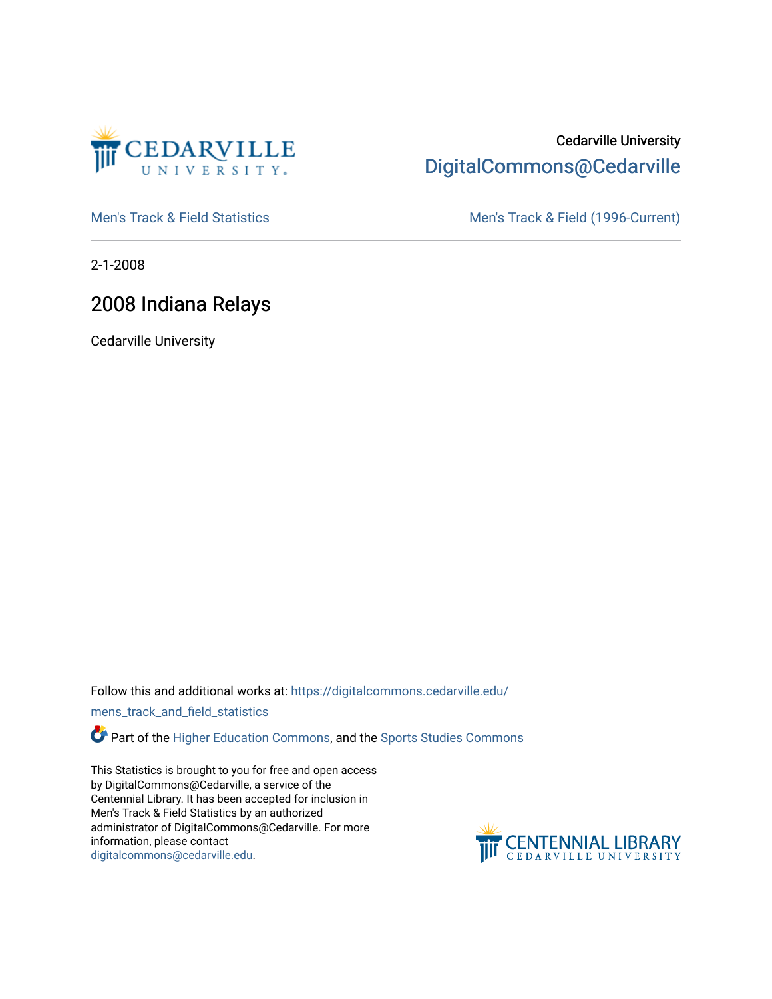

# Cedarville University [DigitalCommons@Cedarville](https://digitalcommons.cedarville.edu/)

[Men's Track & Field Statistics](https://digitalcommons.cedarville.edu/mens_track_and_field_statistics) [Men's Track & Field \(1996-Current\)](https://digitalcommons.cedarville.edu/mens_track_and_field) 

2-1-2008

# 2008 Indiana Relays

Cedarville University

Follow this and additional works at: [https://digitalcommons.cedarville.edu/](https://digitalcommons.cedarville.edu/mens_track_and_field_statistics?utm_source=digitalcommons.cedarville.edu%2Fmens_track_and_field_statistics%2F196&utm_medium=PDF&utm_campaign=PDFCoverPages)

[mens\\_track\\_and\\_field\\_statistics](https://digitalcommons.cedarville.edu/mens_track_and_field_statistics?utm_source=digitalcommons.cedarville.edu%2Fmens_track_and_field_statistics%2F196&utm_medium=PDF&utm_campaign=PDFCoverPages)

Part of the [Higher Education Commons,](http://network.bepress.com/hgg/discipline/1245?utm_source=digitalcommons.cedarville.edu%2Fmens_track_and_field_statistics%2F196&utm_medium=PDF&utm_campaign=PDFCoverPages) and the Sports Studies Commons

This Statistics is brought to you for free and open access by DigitalCommons@Cedarville, a service of the Centennial Library. It has been accepted for inclusion in Men's Track & Field Statistics by an authorized administrator of DigitalCommons@Cedarville. For more information, please contact [digitalcommons@cedarville.edu](mailto:digitalcommons@cedarville.edu).

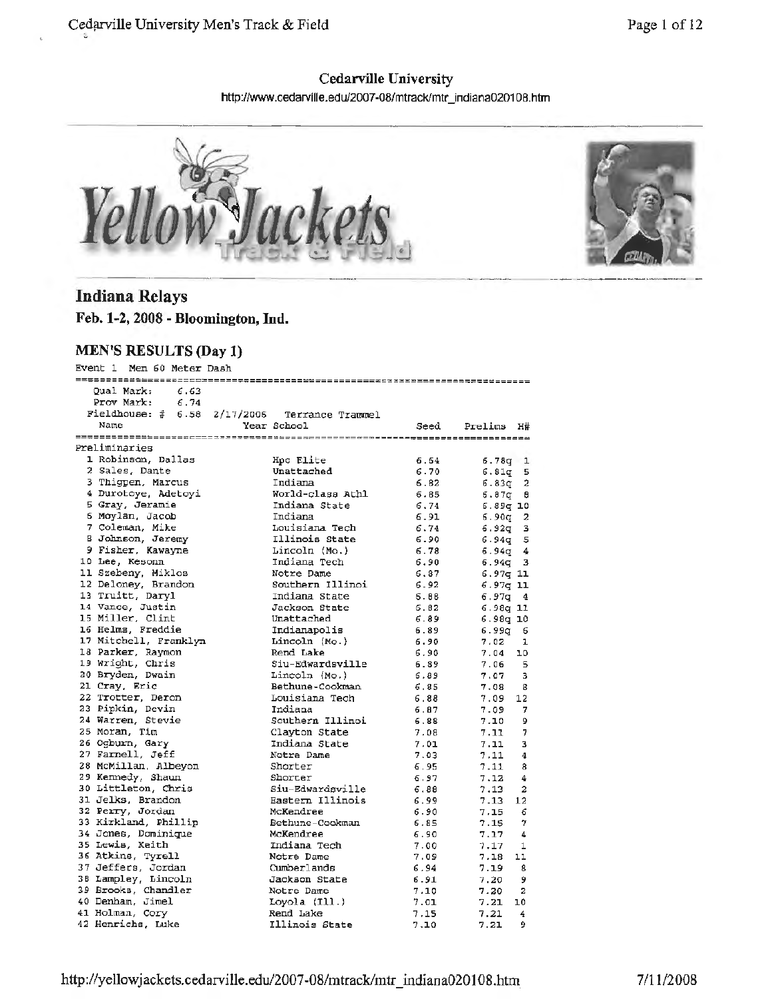### **Cedarville University**

http://www.cedarville.edu/2007-08/mtrack/mtr\_indiana020108.htm





## **Indiana Relays**

**Feb. 1-2, 2008 - Bloomington, Ind.** 

#### **MEN'S RESULTS (Day 1)**

Event 1 Men 60 Meter Dash

| Qual Mark: 6.63<br>Prov Mark: 6.74<br>Fieldhouse: $\#$ 6.58 2/17/2006 Terrance Trammel<br>Year School<br>Name<br>Seed<br>Prelims H#<br>Preliminaries<br>1 Robinson, Dallas<br>Hpc Elite<br>6.64<br>$6.78q$ 1<br>2 Sales, Dante<br>Unattached<br>6.70<br>$6.81q$ 5<br>3 Thigpen, Marcus<br>Indiana<br>$6.83q$ 2<br>6.82<br>4 Durotoye, Adetoyi<br>World-class Athl<br>6.85<br>6.87α θ<br>5 Gray, Jeramie<br>Indiana State<br>6.74<br>$6.89q$ 10<br>6 Moylan, Jacob<br>Indiana<br>6.91<br>$6.90q$ 2<br>7 Coleman, Mike<br>Louisiana Tech<br>6.74<br>$6.92q$ 3<br>8 Johnson, Jeremy<br>Illinois State<br>6.90<br>$6.94q$ 5<br>9 Fisher, Kawayne<br>6.78<br>Lincoln (Mo.)<br>$6.94q$ 4<br>10 Lee, Kesonn<br>6.90<br>Indiana Tech<br>$6.94q$ 3<br>11 Szebeny, Miklos<br>Notre Dame<br>6.87<br>$6.97q$ 11<br>12 Deloney, Brandon<br>Southern Illinoi<br>6.92<br>$6.97q$ 11<br>13 Truitt, Daryl<br>Indiana State<br>6.88<br>6.97a<br>4<br>14 Vance, Justin<br>Jackson State<br>6.82<br>6.98a 11<br>15 Miller, Clint<br>Unattached<br>6.89<br>6.98q 10<br>16 Helms, Freddie<br>Indianapolis<br>6.89<br>6.99α<br>- 6<br>17 Mitchell, Franklyn<br>Lincoln (Mo.)<br>6.90<br>7.02<br>1<br>18 Parker, Raymon<br>Rend Lake<br>6.90<br>7.04<br>10<br>19 Wright, Chris<br>Siu-Edwardsville<br>6.89<br>7.06<br>- 5<br>20 Bryden, Dwain<br>Lincoln (Mo.)<br>6.89<br>7.07<br>-3<br>21 Cray, Eric<br>Bethune-Cookman<br>6.85<br>7.08<br>$^{\circ}$<br>22 Trotter, Deron<br>Louisiana Tech<br>6.88<br>12<br>7.09<br>23 Pipkin, Devin<br>Indiana<br>6.87<br>7<br>7.09<br>24 Warren, Stevie<br>Southern Illinoi<br>6.88<br>7.10<br>9<br>25 Moran, Tim<br>Clayton State<br>7.08<br>7.11<br>7<br>26 Ogburn, Gary<br>Indiana State<br>7.01<br>з<br>7.11<br>27 Farnell, Jeff<br>7.03<br>Notre Dame<br>7.11<br>4<br>28 McMillan, Albeyon<br>Shorter<br>6.95<br>7.11<br>8<br>29 Kennedy, Shaun<br>Shorter<br>6.97<br>7.12<br>4<br>30 Littleton, Chris<br>Siu-Edwardsville<br>6.88<br>7.13<br>2<br>31 Jelks, Brandon<br>Eastern Illinois<br>6.99<br>7.13<br>12<br>32 Perry, Jordan<br>McKendree<br>6.90<br>6<br>7.15<br>33 Kirkland, Phillip<br>Bethune-Cookman<br>6.85<br>$\tau$<br>7.15<br>34 Jones, Dominique<br>McKendree<br>6.90<br>7.17<br>4<br>35 Lewis, Keith<br>Indiana Tech<br>7.00<br>7.17<br>1<br>36 Atkins, Tyrell<br>Notre Dame<br>7.09<br>7.18<br>11<br>37 Jeffers, Jordan<br>Cumberlands<br>6.94<br>8<br>7.19<br>38 Lampley, Lincoln<br>Jackson State<br>6.91<br>9<br>7.20<br>39 Brooks, Chandler<br>7.10<br>7.20<br>2<br>Notre Dame<br>40 Denham, Jimel<br>Loyola (Ill.)<br>7.01<br>7.21<br>10<br>41 Holman, Cory<br>Rend Lake<br>7.15<br>7.21<br>4<br>42 Henrichs, Luke<br>Illinois State<br>7.10<br>7.21<br>9 |  |  |  |
|----------------------------------------------------------------------------------------------------------------------------------------------------------------------------------------------------------------------------------------------------------------------------------------------------------------------------------------------------------------------------------------------------------------------------------------------------------------------------------------------------------------------------------------------------------------------------------------------------------------------------------------------------------------------------------------------------------------------------------------------------------------------------------------------------------------------------------------------------------------------------------------------------------------------------------------------------------------------------------------------------------------------------------------------------------------------------------------------------------------------------------------------------------------------------------------------------------------------------------------------------------------------------------------------------------------------------------------------------------------------------------------------------------------------------------------------------------------------------------------------------------------------------------------------------------------------------------------------------------------------------------------------------------------------------------------------------------------------------------------------------------------------------------------------------------------------------------------------------------------------------------------------------------------------------------------------------------------------------------------------------------------------------------------------------------------------------------------------------------------------------------------------------------------------------------------------------------------------------------------------------------------------------------------------------------------------------------------------------------------------------------------------------------------------------------------------------------------------------------------------------------------------------------------------------------------------------------------------------------------------------------------------------------------------------------------------------|--|--|--|
|                                                                                                                                                                                                                                                                                                                                                                                                                                                                                                                                                                                                                                                                                                                                                                                                                                                                                                                                                                                                                                                                                                                                                                                                                                                                                                                                                                                                                                                                                                                                                                                                                                                                                                                                                                                                                                                                                                                                                                                                                                                                                                                                                                                                                                                                                                                                                                                                                                                                                                                                                                                                                                                                                                    |  |  |  |
|                                                                                                                                                                                                                                                                                                                                                                                                                                                                                                                                                                                                                                                                                                                                                                                                                                                                                                                                                                                                                                                                                                                                                                                                                                                                                                                                                                                                                                                                                                                                                                                                                                                                                                                                                                                                                                                                                                                                                                                                                                                                                                                                                                                                                                                                                                                                                                                                                                                                                                                                                                                                                                                                                                    |  |  |  |
|                                                                                                                                                                                                                                                                                                                                                                                                                                                                                                                                                                                                                                                                                                                                                                                                                                                                                                                                                                                                                                                                                                                                                                                                                                                                                                                                                                                                                                                                                                                                                                                                                                                                                                                                                                                                                                                                                                                                                                                                                                                                                                                                                                                                                                                                                                                                                                                                                                                                                                                                                                                                                                                                                                    |  |  |  |
|                                                                                                                                                                                                                                                                                                                                                                                                                                                                                                                                                                                                                                                                                                                                                                                                                                                                                                                                                                                                                                                                                                                                                                                                                                                                                                                                                                                                                                                                                                                                                                                                                                                                                                                                                                                                                                                                                                                                                                                                                                                                                                                                                                                                                                                                                                                                                                                                                                                                                                                                                                                                                                                                                                    |  |  |  |
|                                                                                                                                                                                                                                                                                                                                                                                                                                                                                                                                                                                                                                                                                                                                                                                                                                                                                                                                                                                                                                                                                                                                                                                                                                                                                                                                                                                                                                                                                                                                                                                                                                                                                                                                                                                                                                                                                                                                                                                                                                                                                                                                                                                                                                                                                                                                                                                                                                                                                                                                                                                                                                                                                                    |  |  |  |
|                                                                                                                                                                                                                                                                                                                                                                                                                                                                                                                                                                                                                                                                                                                                                                                                                                                                                                                                                                                                                                                                                                                                                                                                                                                                                                                                                                                                                                                                                                                                                                                                                                                                                                                                                                                                                                                                                                                                                                                                                                                                                                                                                                                                                                                                                                                                                                                                                                                                                                                                                                                                                                                                                                    |  |  |  |
|                                                                                                                                                                                                                                                                                                                                                                                                                                                                                                                                                                                                                                                                                                                                                                                                                                                                                                                                                                                                                                                                                                                                                                                                                                                                                                                                                                                                                                                                                                                                                                                                                                                                                                                                                                                                                                                                                                                                                                                                                                                                                                                                                                                                                                                                                                                                                                                                                                                                                                                                                                                                                                                                                                    |  |  |  |
|                                                                                                                                                                                                                                                                                                                                                                                                                                                                                                                                                                                                                                                                                                                                                                                                                                                                                                                                                                                                                                                                                                                                                                                                                                                                                                                                                                                                                                                                                                                                                                                                                                                                                                                                                                                                                                                                                                                                                                                                                                                                                                                                                                                                                                                                                                                                                                                                                                                                                                                                                                                                                                                                                                    |  |  |  |
|                                                                                                                                                                                                                                                                                                                                                                                                                                                                                                                                                                                                                                                                                                                                                                                                                                                                                                                                                                                                                                                                                                                                                                                                                                                                                                                                                                                                                                                                                                                                                                                                                                                                                                                                                                                                                                                                                                                                                                                                                                                                                                                                                                                                                                                                                                                                                                                                                                                                                                                                                                                                                                                                                                    |  |  |  |
|                                                                                                                                                                                                                                                                                                                                                                                                                                                                                                                                                                                                                                                                                                                                                                                                                                                                                                                                                                                                                                                                                                                                                                                                                                                                                                                                                                                                                                                                                                                                                                                                                                                                                                                                                                                                                                                                                                                                                                                                                                                                                                                                                                                                                                                                                                                                                                                                                                                                                                                                                                                                                                                                                                    |  |  |  |
|                                                                                                                                                                                                                                                                                                                                                                                                                                                                                                                                                                                                                                                                                                                                                                                                                                                                                                                                                                                                                                                                                                                                                                                                                                                                                                                                                                                                                                                                                                                                                                                                                                                                                                                                                                                                                                                                                                                                                                                                                                                                                                                                                                                                                                                                                                                                                                                                                                                                                                                                                                                                                                                                                                    |  |  |  |
|                                                                                                                                                                                                                                                                                                                                                                                                                                                                                                                                                                                                                                                                                                                                                                                                                                                                                                                                                                                                                                                                                                                                                                                                                                                                                                                                                                                                                                                                                                                                                                                                                                                                                                                                                                                                                                                                                                                                                                                                                                                                                                                                                                                                                                                                                                                                                                                                                                                                                                                                                                                                                                                                                                    |  |  |  |
|                                                                                                                                                                                                                                                                                                                                                                                                                                                                                                                                                                                                                                                                                                                                                                                                                                                                                                                                                                                                                                                                                                                                                                                                                                                                                                                                                                                                                                                                                                                                                                                                                                                                                                                                                                                                                                                                                                                                                                                                                                                                                                                                                                                                                                                                                                                                                                                                                                                                                                                                                                                                                                                                                                    |  |  |  |
|                                                                                                                                                                                                                                                                                                                                                                                                                                                                                                                                                                                                                                                                                                                                                                                                                                                                                                                                                                                                                                                                                                                                                                                                                                                                                                                                                                                                                                                                                                                                                                                                                                                                                                                                                                                                                                                                                                                                                                                                                                                                                                                                                                                                                                                                                                                                                                                                                                                                                                                                                                                                                                                                                                    |  |  |  |
|                                                                                                                                                                                                                                                                                                                                                                                                                                                                                                                                                                                                                                                                                                                                                                                                                                                                                                                                                                                                                                                                                                                                                                                                                                                                                                                                                                                                                                                                                                                                                                                                                                                                                                                                                                                                                                                                                                                                                                                                                                                                                                                                                                                                                                                                                                                                                                                                                                                                                                                                                                                                                                                                                                    |  |  |  |
|                                                                                                                                                                                                                                                                                                                                                                                                                                                                                                                                                                                                                                                                                                                                                                                                                                                                                                                                                                                                                                                                                                                                                                                                                                                                                                                                                                                                                                                                                                                                                                                                                                                                                                                                                                                                                                                                                                                                                                                                                                                                                                                                                                                                                                                                                                                                                                                                                                                                                                                                                                                                                                                                                                    |  |  |  |
|                                                                                                                                                                                                                                                                                                                                                                                                                                                                                                                                                                                                                                                                                                                                                                                                                                                                                                                                                                                                                                                                                                                                                                                                                                                                                                                                                                                                                                                                                                                                                                                                                                                                                                                                                                                                                                                                                                                                                                                                                                                                                                                                                                                                                                                                                                                                                                                                                                                                                                                                                                                                                                                                                                    |  |  |  |
|                                                                                                                                                                                                                                                                                                                                                                                                                                                                                                                                                                                                                                                                                                                                                                                                                                                                                                                                                                                                                                                                                                                                                                                                                                                                                                                                                                                                                                                                                                                                                                                                                                                                                                                                                                                                                                                                                                                                                                                                                                                                                                                                                                                                                                                                                                                                                                                                                                                                                                                                                                                                                                                                                                    |  |  |  |
|                                                                                                                                                                                                                                                                                                                                                                                                                                                                                                                                                                                                                                                                                                                                                                                                                                                                                                                                                                                                                                                                                                                                                                                                                                                                                                                                                                                                                                                                                                                                                                                                                                                                                                                                                                                                                                                                                                                                                                                                                                                                                                                                                                                                                                                                                                                                                                                                                                                                                                                                                                                                                                                                                                    |  |  |  |
|                                                                                                                                                                                                                                                                                                                                                                                                                                                                                                                                                                                                                                                                                                                                                                                                                                                                                                                                                                                                                                                                                                                                                                                                                                                                                                                                                                                                                                                                                                                                                                                                                                                                                                                                                                                                                                                                                                                                                                                                                                                                                                                                                                                                                                                                                                                                                                                                                                                                                                                                                                                                                                                                                                    |  |  |  |
|                                                                                                                                                                                                                                                                                                                                                                                                                                                                                                                                                                                                                                                                                                                                                                                                                                                                                                                                                                                                                                                                                                                                                                                                                                                                                                                                                                                                                                                                                                                                                                                                                                                                                                                                                                                                                                                                                                                                                                                                                                                                                                                                                                                                                                                                                                                                                                                                                                                                                                                                                                                                                                                                                                    |  |  |  |
|                                                                                                                                                                                                                                                                                                                                                                                                                                                                                                                                                                                                                                                                                                                                                                                                                                                                                                                                                                                                                                                                                                                                                                                                                                                                                                                                                                                                                                                                                                                                                                                                                                                                                                                                                                                                                                                                                                                                                                                                                                                                                                                                                                                                                                                                                                                                                                                                                                                                                                                                                                                                                                                                                                    |  |  |  |
|                                                                                                                                                                                                                                                                                                                                                                                                                                                                                                                                                                                                                                                                                                                                                                                                                                                                                                                                                                                                                                                                                                                                                                                                                                                                                                                                                                                                                                                                                                                                                                                                                                                                                                                                                                                                                                                                                                                                                                                                                                                                                                                                                                                                                                                                                                                                                                                                                                                                                                                                                                                                                                                                                                    |  |  |  |
|                                                                                                                                                                                                                                                                                                                                                                                                                                                                                                                                                                                                                                                                                                                                                                                                                                                                                                                                                                                                                                                                                                                                                                                                                                                                                                                                                                                                                                                                                                                                                                                                                                                                                                                                                                                                                                                                                                                                                                                                                                                                                                                                                                                                                                                                                                                                                                                                                                                                                                                                                                                                                                                                                                    |  |  |  |
|                                                                                                                                                                                                                                                                                                                                                                                                                                                                                                                                                                                                                                                                                                                                                                                                                                                                                                                                                                                                                                                                                                                                                                                                                                                                                                                                                                                                                                                                                                                                                                                                                                                                                                                                                                                                                                                                                                                                                                                                                                                                                                                                                                                                                                                                                                                                                                                                                                                                                                                                                                                                                                                                                                    |  |  |  |
|                                                                                                                                                                                                                                                                                                                                                                                                                                                                                                                                                                                                                                                                                                                                                                                                                                                                                                                                                                                                                                                                                                                                                                                                                                                                                                                                                                                                                                                                                                                                                                                                                                                                                                                                                                                                                                                                                                                                                                                                                                                                                                                                                                                                                                                                                                                                                                                                                                                                                                                                                                                                                                                                                                    |  |  |  |
|                                                                                                                                                                                                                                                                                                                                                                                                                                                                                                                                                                                                                                                                                                                                                                                                                                                                                                                                                                                                                                                                                                                                                                                                                                                                                                                                                                                                                                                                                                                                                                                                                                                                                                                                                                                                                                                                                                                                                                                                                                                                                                                                                                                                                                                                                                                                                                                                                                                                                                                                                                                                                                                                                                    |  |  |  |
|                                                                                                                                                                                                                                                                                                                                                                                                                                                                                                                                                                                                                                                                                                                                                                                                                                                                                                                                                                                                                                                                                                                                                                                                                                                                                                                                                                                                                                                                                                                                                                                                                                                                                                                                                                                                                                                                                                                                                                                                                                                                                                                                                                                                                                                                                                                                                                                                                                                                                                                                                                                                                                                                                                    |  |  |  |
|                                                                                                                                                                                                                                                                                                                                                                                                                                                                                                                                                                                                                                                                                                                                                                                                                                                                                                                                                                                                                                                                                                                                                                                                                                                                                                                                                                                                                                                                                                                                                                                                                                                                                                                                                                                                                                                                                                                                                                                                                                                                                                                                                                                                                                                                                                                                                                                                                                                                                                                                                                                                                                                                                                    |  |  |  |
|                                                                                                                                                                                                                                                                                                                                                                                                                                                                                                                                                                                                                                                                                                                                                                                                                                                                                                                                                                                                                                                                                                                                                                                                                                                                                                                                                                                                                                                                                                                                                                                                                                                                                                                                                                                                                                                                                                                                                                                                                                                                                                                                                                                                                                                                                                                                                                                                                                                                                                                                                                                                                                                                                                    |  |  |  |
|                                                                                                                                                                                                                                                                                                                                                                                                                                                                                                                                                                                                                                                                                                                                                                                                                                                                                                                                                                                                                                                                                                                                                                                                                                                                                                                                                                                                                                                                                                                                                                                                                                                                                                                                                                                                                                                                                                                                                                                                                                                                                                                                                                                                                                                                                                                                                                                                                                                                                                                                                                                                                                                                                                    |  |  |  |
|                                                                                                                                                                                                                                                                                                                                                                                                                                                                                                                                                                                                                                                                                                                                                                                                                                                                                                                                                                                                                                                                                                                                                                                                                                                                                                                                                                                                                                                                                                                                                                                                                                                                                                                                                                                                                                                                                                                                                                                                                                                                                                                                                                                                                                                                                                                                                                                                                                                                                                                                                                                                                                                                                                    |  |  |  |
|                                                                                                                                                                                                                                                                                                                                                                                                                                                                                                                                                                                                                                                                                                                                                                                                                                                                                                                                                                                                                                                                                                                                                                                                                                                                                                                                                                                                                                                                                                                                                                                                                                                                                                                                                                                                                                                                                                                                                                                                                                                                                                                                                                                                                                                                                                                                                                                                                                                                                                                                                                                                                                                                                                    |  |  |  |
|                                                                                                                                                                                                                                                                                                                                                                                                                                                                                                                                                                                                                                                                                                                                                                                                                                                                                                                                                                                                                                                                                                                                                                                                                                                                                                                                                                                                                                                                                                                                                                                                                                                                                                                                                                                                                                                                                                                                                                                                                                                                                                                                                                                                                                                                                                                                                                                                                                                                                                                                                                                                                                                                                                    |  |  |  |
|                                                                                                                                                                                                                                                                                                                                                                                                                                                                                                                                                                                                                                                                                                                                                                                                                                                                                                                                                                                                                                                                                                                                                                                                                                                                                                                                                                                                                                                                                                                                                                                                                                                                                                                                                                                                                                                                                                                                                                                                                                                                                                                                                                                                                                                                                                                                                                                                                                                                                                                                                                                                                                                                                                    |  |  |  |
|                                                                                                                                                                                                                                                                                                                                                                                                                                                                                                                                                                                                                                                                                                                                                                                                                                                                                                                                                                                                                                                                                                                                                                                                                                                                                                                                                                                                                                                                                                                                                                                                                                                                                                                                                                                                                                                                                                                                                                                                                                                                                                                                                                                                                                                                                                                                                                                                                                                                                                                                                                                                                                                                                                    |  |  |  |
|                                                                                                                                                                                                                                                                                                                                                                                                                                                                                                                                                                                                                                                                                                                                                                                                                                                                                                                                                                                                                                                                                                                                                                                                                                                                                                                                                                                                                                                                                                                                                                                                                                                                                                                                                                                                                                                                                                                                                                                                                                                                                                                                                                                                                                                                                                                                                                                                                                                                                                                                                                                                                                                                                                    |  |  |  |
|                                                                                                                                                                                                                                                                                                                                                                                                                                                                                                                                                                                                                                                                                                                                                                                                                                                                                                                                                                                                                                                                                                                                                                                                                                                                                                                                                                                                                                                                                                                                                                                                                                                                                                                                                                                                                                                                                                                                                                                                                                                                                                                                                                                                                                                                                                                                                                                                                                                                                                                                                                                                                                                                                                    |  |  |  |
|                                                                                                                                                                                                                                                                                                                                                                                                                                                                                                                                                                                                                                                                                                                                                                                                                                                                                                                                                                                                                                                                                                                                                                                                                                                                                                                                                                                                                                                                                                                                                                                                                                                                                                                                                                                                                                                                                                                                                                                                                                                                                                                                                                                                                                                                                                                                                                                                                                                                                                                                                                                                                                                                                                    |  |  |  |
|                                                                                                                                                                                                                                                                                                                                                                                                                                                                                                                                                                                                                                                                                                                                                                                                                                                                                                                                                                                                                                                                                                                                                                                                                                                                                                                                                                                                                                                                                                                                                                                                                                                                                                                                                                                                                                                                                                                                                                                                                                                                                                                                                                                                                                                                                                                                                                                                                                                                                                                                                                                                                                                                                                    |  |  |  |
|                                                                                                                                                                                                                                                                                                                                                                                                                                                                                                                                                                                                                                                                                                                                                                                                                                                                                                                                                                                                                                                                                                                                                                                                                                                                                                                                                                                                                                                                                                                                                                                                                                                                                                                                                                                                                                                                                                                                                                                                                                                                                                                                                                                                                                                                                                                                                                                                                                                                                                                                                                                                                                                                                                    |  |  |  |
|                                                                                                                                                                                                                                                                                                                                                                                                                                                                                                                                                                                                                                                                                                                                                                                                                                                                                                                                                                                                                                                                                                                                                                                                                                                                                                                                                                                                                                                                                                                                                                                                                                                                                                                                                                                                                                                                                                                                                                                                                                                                                                                                                                                                                                                                                                                                                                                                                                                                                                                                                                                                                                                                                                    |  |  |  |
|                                                                                                                                                                                                                                                                                                                                                                                                                                                                                                                                                                                                                                                                                                                                                                                                                                                                                                                                                                                                                                                                                                                                                                                                                                                                                                                                                                                                                                                                                                                                                                                                                                                                                                                                                                                                                                                                                                                                                                                                                                                                                                                                                                                                                                                                                                                                                                                                                                                                                                                                                                                                                                                                                                    |  |  |  |
|                                                                                                                                                                                                                                                                                                                                                                                                                                                                                                                                                                                                                                                                                                                                                                                                                                                                                                                                                                                                                                                                                                                                                                                                                                                                                                                                                                                                                                                                                                                                                                                                                                                                                                                                                                                                                                                                                                                                                                                                                                                                                                                                                                                                                                                                                                                                                                                                                                                                                                                                                                                                                                                                                                    |  |  |  |
|                                                                                                                                                                                                                                                                                                                                                                                                                                                                                                                                                                                                                                                                                                                                                                                                                                                                                                                                                                                                                                                                                                                                                                                                                                                                                                                                                                                                                                                                                                                                                                                                                                                                                                                                                                                                                                                                                                                                                                                                                                                                                                                                                                                                                                                                                                                                                                                                                                                                                                                                                                                                                                                                                                    |  |  |  |
|                                                                                                                                                                                                                                                                                                                                                                                                                                                                                                                                                                                                                                                                                                                                                                                                                                                                                                                                                                                                                                                                                                                                                                                                                                                                                                                                                                                                                                                                                                                                                                                                                                                                                                                                                                                                                                                                                                                                                                                                                                                                                                                                                                                                                                                                                                                                                                                                                                                                                                                                                                                                                                                                                                    |  |  |  |
|                                                                                                                                                                                                                                                                                                                                                                                                                                                                                                                                                                                                                                                                                                                                                                                                                                                                                                                                                                                                                                                                                                                                                                                                                                                                                                                                                                                                                                                                                                                                                                                                                                                                                                                                                                                                                                                                                                                                                                                                                                                                                                                                                                                                                                                                                                                                                                                                                                                                                                                                                                                                                                                                                                    |  |  |  |
|                                                                                                                                                                                                                                                                                                                                                                                                                                                                                                                                                                                                                                                                                                                                                                                                                                                                                                                                                                                                                                                                                                                                                                                                                                                                                                                                                                                                                                                                                                                                                                                                                                                                                                                                                                                                                                                                                                                                                                                                                                                                                                                                                                                                                                                                                                                                                                                                                                                                                                                                                                                                                                                                                                    |  |  |  |
|                                                                                                                                                                                                                                                                                                                                                                                                                                                                                                                                                                                                                                                                                                                                                                                                                                                                                                                                                                                                                                                                                                                                                                                                                                                                                                                                                                                                                                                                                                                                                                                                                                                                                                                                                                                                                                                                                                                                                                                                                                                                                                                                                                                                                                                                                                                                                                                                                                                                                                                                                                                                                                                                                                    |  |  |  |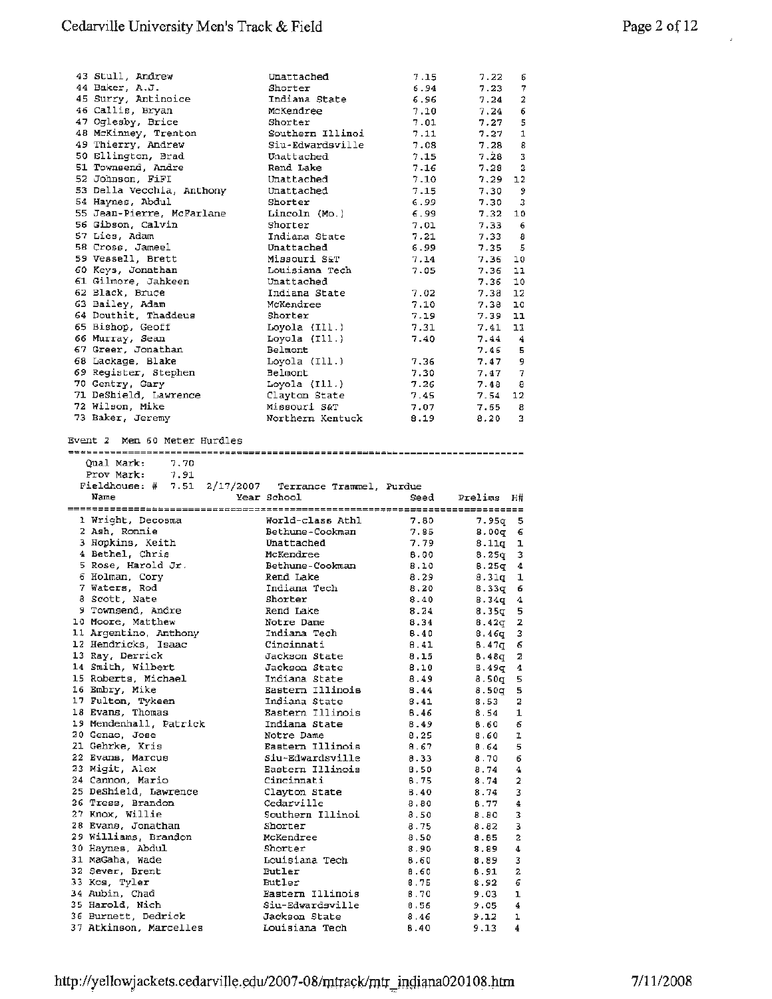| 43 Stull, Andrew                              | Unattached                                            | 7.15         | 7.22<br>6              |
|-----------------------------------------------|-------------------------------------------------------|--------------|------------------------|
| 44 Baker, A.J.                                | Shorter                                               | 6.94         | 7.23<br>7              |
| 45 Surry, Antinoice                           |                                                       |              |                        |
|                                               | Indiana State                                         | 6.96         | 2<br>7.24              |
| 46 Callis, Bryan                              | McKendree                                             | 7.10         | 6<br>7.24              |
| 47 Oglesby, Brice                             | Shorter                                               | 7.01         | 5<br>7.27              |
| 48 McKinney, Trenton                          | Southern Illinoi                                      | 7.11         | 7.27<br>1              |
|                                               |                                                       |              |                        |
| 49 Thierry, Andrew                            | Siu-Edwardsville                                      | 7.08         | 7.28<br>8              |
| 50 Ellington, Brad                            | Unattached                                            | 7.15         | 7.28<br>з              |
| 51 Townsend, Andre                            | Rend Lake                                             | 7.16         | 7.28<br>2              |
|                                               |                                                       |              |                        |
| 52 Johnson, FiFI                              | Unattached                                            | 7.10         | $7.29$ 12              |
| 53 Della Vecchia, Anthony                     | Unattached                                            | 7.15         | 7.30<br>9              |
| 54 Haynes, Abdul                              | Shorter                                               | 6.99         | 7.30<br>3              |
|                                               |                                                       |              |                        |
| 55 Jean-Pierre, McFarlane                     | Lincoln (Mo.)                                         | 6.99         | 7.32<br>10             |
| 56 Gibson, Calvin                             | Shorter                                               | 7.01         | 7.33<br>6              |
| 57 Lies, Adam                                 | Indiana State                                         | 7.21         | 7.33<br>-8             |
|                                               |                                                       |              |                        |
| 58 Cross, Jameel                              | Unattached                                            | 6.99         | 7.35<br>- 5            |
| 59 Vessell, Brett                             | Missouri S&T                                          | 7.14         | 7.36<br>10             |
| 60 Keys, Jonathan                             | Louisiana Tech                                        | 7.05         | 7.36<br>11             |
|                                               |                                                       |              |                        |
| 61 Gilmore, Jahkeen                           | Unattached                                            |              | 7.36<br>10             |
| 62 Black, Bruce                               | Indiana State                                         | 7.02         | 7.38 12                |
| 63 Bailey, Adam                               | McKendree                                             | 7.10         | 7.38<br>10             |
| 64 Douthit, Thaddeus                          | Shorter                                               | 7.19         | 7.39<br>11             |
|                                               |                                                       |              |                        |
| 65 Bishop, Geoff                              | Loyola (Ill.)                                         | 7.31         | 7.41<br>11             |
| 66 Murray, Sean                               | Loyola $(111.)$                                       | 7.40         | 7.44<br>-4             |
| 67 Greer, Jonathan                            | Belmont                                               |              | 7.46<br>5              |
|                                               |                                                       |              |                        |
| 68 Lackage, Blake                             | Loyola $(111.)$                                       | 7.36         | 7.47<br>9              |
| 69 Register, Stephen                          | Belmont                                               | 7.30         | 7.47<br>7              |
| 70 Gentry, Gary                               | Loyola $(111.)$                                       | 7.26         | 7.48<br>-8             |
|                                               |                                                       |              |                        |
| 71 DeShield, Lawrence                         | Clayton State                                         | 7.45         | 7.54<br>12             |
| 72 Wilson, Mike                               | Missouri S&T                                          | 7.07         | 7.65<br>8              |
| 73 Baker, Jeremy                              | Northern Kentuck                                      | 8.19         | 8.20<br>3.             |
|                                               |                                                       |              |                        |
|                                               |                                                       |              |                        |
| Event 2 Men 60 Meter Hurdles                  |                                                       |              |                        |
|                                               |                                                       |              |                        |
| Qual Mark:<br>7.70                            |                                                       |              |                        |
|                                               |                                                       |              |                        |
| Prov Mark:<br>7.91                            |                                                       |              |                        |
|                                               | Fieldhouse: # 7.51 2/17/2007 Terrance Trammel, Purdue |              |                        |
|                                               |                                                       |              |                        |
|                                               |                                                       |              |                        |
| Name                                          | Year School                                           | Seed         | Prelims H#             |
|                                               |                                                       |              |                        |
| 1 Wright, Decosma                             | World-class Athl                                      | 7.80         | 7.95q<br>5             |
|                                               |                                                       |              |                        |
| 2 Ash, Ronnie                                 | Bethune-Cookman                                       | 7.85         | 8.00q<br>6             |
| 3 Hopkins, Keith                              | Unattached                                            | 7.79         | 8.11q<br>ı             |
| 4 Bethel, Chris                               | McKendree                                             | 8.00         | 8.25q<br>3             |
|                                               |                                                       |              |                        |
| 5 Rose, Harold Jr.                            | Bethune - Cookman                                     | 8.10         | 8.25q<br>4             |
| 6 Holman, Cory                                | Rend Lake                                             | 8.29         | 8.31q<br>1             |
| 7 Waters, Rod                                 | Indiana Tech                                          | 8.20         | 8.33q<br>6             |
|                                               |                                                       |              |                        |
| 8 Scott, Nate                                 | Shorter                                               | 8.40         | 8.34q<br>4             |
| 9 Townsend, Andre                             | Rend Lake                                             | 8.24         | 8.35 <sub>0</sub><br>5 |
| 10 Moore, Matthew                             | Notre Dame                                            | 8.34         | 2<br>$8.42\sigma$      |
|                                               |                                                       |              |                        |
| 11 Argentino, Anthony                         | Indiana Tech                                          | 8.40         | $8.46q$ 3              |
| 12 Hendricks, Isaac                           | Cincinnati                                            | B.41         | 8.47q<br>6             |
| 13 Ray, Derrick                               | Jackson State                                         | 8.15         | 8.48q<br>2             |
| 14 Smith, Wilbert                             | Jackson State                                         | 8.10         | B.49q<br>4             |
|                                               |                                                       |              |                        |
| 15 Roberts, Michael                           | Indiana State                                         | 8,49         | 8.50g<br>5             |
| 16 Embry, Mike                                | Eastern Illinois                                      | 8.44         | 5<br>8.50q             |
| 17 Fulton, Tykeen                             | Indiana State                                         | 8.41         | 2<br>8.53              |
|                                               |                                                       |              |                        |
| 18 Evans, Thomas                              | Eastern Illinois                                      | 8.46         | 1<br>8.54              |
| 19 Mendenhall, Patrick                        | Indiana State                                         | 8.49         | 8.60<br>6              |
|                                               | Notre Dame                                            | 8.25         | 8.60<br>ı              |
| 20 Genao, Jose                                |                                                       |              |                        |
| 21 Gehrke, Kris                               | Eastern Illinois                                      | 8.67         | 5<br>8.64              |
| 22 Evans, Marcus                              | Siu-Edwardsville                                      | 8.33         | 8.70<br>6              |
| 23 Migit, Alex                                | Eastern Illinois                                      | 8.50         | 8.74<br>4              |
|                                               |                                                       |              |                        |
| 24 Cannon, Mario                              | Cincinnati                                            | 8.75         | 2<br>8.74              |
| 25 DeShield, Lawrence                         | Clayton State                                         | 6.40         | 8.74<br>3              |
| 26 Tress, Brandon                             | Cedarville                                            | 8.80         | 8.77<br>4              |
|                                               |                                                       |              |                        |
| 27 Knox, Willie                               | Southern Illinoi                                      | 8.50         | 8.80<br>3              |
| 28 Evans, Jonathan                            | Shorter                                               | 8.75         | 8.82<br>з              |
|                                               | McKendree                                             | 8.50         | 2<br>8.65              |
| 29 Williams, Brandon                          |                                                       |              |                        |
| 30 Haynes, Abdul                              | Shorter                                               | 8.90         | 8.89<br>4              |
| 31 MaGaha, Wade                               | Louisiana Tech                                        | 6.60         | 3<br>8.89              |
| 32 Sever, Brent                               | Butler                                                | 8.60         | 2<br>8.91              |
|                                               |                                                       |              |                        |
| 33 Kos, Tyler                                 | <b>Butler</b>                                         | 8.75         | 6<br>8.92              |
| 34 Aubin, Chad                                | Eastern Illinois                                      | <b>B.70</b>  | 9.03<br>ı              |
| 35 Harold, Nich                               | Siu-Edwardsville                                      | 8.56         | 9.05<br>4              |
|                                               |                                                       |              |                        |
| 36 Burnett, Dedrick<br>37 Atkinson, Marcelles | Jackson State<br>Louisiana Tech                       | 8.46<br>8.40 | 9.12<br>ı<br>9.13<br>4 |

 $\bar{a}$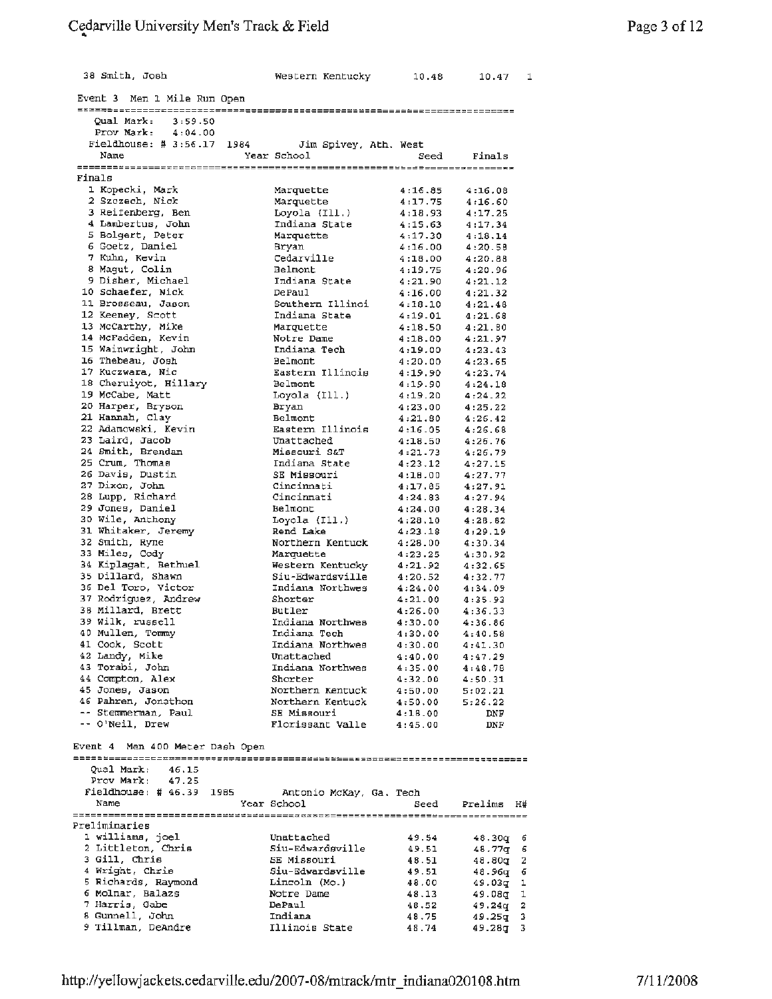### Cedarville University Men's Track & Field ..

| 38 Smith, Josh                            | Western Kentucky                     | 10.48              | 10.47<br>1             |
|-------------------------------------------|--------------------------------------|--------------------|------------------------|
| Event 3 Men 1 Mile Run Open               |                                      |                    |                        |
| Oual Mark: 3:59.50                        |                                      |                    |                        |
| Prov Mark: 4:04.00                        |                                      |                    |                        |
| Fieldhouse: # 3:56.17 1984                | Jim Spivey, Ath. West                |                    |                        |
| Name                                      | Year School                          | Seed               | Finals                 |
|                                           |                                      |                    |                        |
| Finals<br>1 Kopecki, Mark                 |                                      |                    |                        |
| 2 Szczech, Nick                           | Marquette<br>Marquette               | 4:16.85<br>4:17.75 | 4:16.08<br>4:16.60     |
| 3 Reifenberg, Ben                         | Loyola (Ill.)                        | 4:18.93            | 4:17.25                |
| 4 Lambertus, John                         | Indiana State                        | 4:15.63            | 4:17.34                |
| 5 Bolgert, Peter                          | Marquette                            | 4:17.30            | 4:18.14                |
| 6 Goetz, Daniel                           | Bryan                                | 4:16.00            | 4:20.58                |
| 7 Kuhn, Kevin<br>8 Magut, Colin           | Cedarville<br>Belmont                | 4:18.00<br>4:19.75 | 4:20.88<br>4:20.96     |
| 9 Digher, Michael                         | Indiana State                        | 4:21.90            | 4:21.12                |
| 10 Schaefer, Nick                         | DePaul                               | 4:16.00            | 4:21.32                |
| 11 Brosseau, Jason                        | Southern Illinoi                     | 4:18.10            | 4:21.48                |
| 12 Keeney, Scott                          | Indiana State                        | 4:19.01            | 4:21.68                |
| 13 McCarthy, Mike                         | Marquette                            | 4:18.50            | 4:21.80                |
| 14 McFadden, Kevin<br>15 Wainwright, John | Notre Dame<br>Indiana Tech           | 4:18.00<br>4:19.00 | 4:21.97                |
| 16 Thebeau, Josh                          | Belmont                              | 4:20.00            | 4:23.43<br>4:23.65     |
| 17 Kuczwara, Nic                          | Eastern Illinois                     | 4:19.90            | 4:23.74                |
| 18 Cheruiyot, Hillary                     | Belmont                              | 4:19.90            | 4:24.18                |
| 19 McCabe, Matt                           | Loyola (Ill.)                        | 4:19.20            | 4:24.22                |
| 20 Harper, Bryson                         | Bryan                                | 4:23.00            | 4:25.22                |
| 21 Hannah, Clay                           | Belmont                              | 4:21.80            | 4:26.42                |
| 22 Adamowski, Kevin<br>23 Laird, Jacob    | Eastern Illinois<br>Unattached       | 4:16.05<br>4:18.50 | 4:26.68<br>4:26.76     |
| 24 Smith, Brendan                         | Missouri S&T                         | 4:21.73            | 4:26.79                |
| 25 Crum, Thomas                           | Indiana State                        | 4:23.12            | 4:27.15                |
| 26 Davis, Dustin                          | SE Missouri                          | 4:18.00            | 4:27.77                |
| 27 Dixon, John                            | Cincinnati                           | 4:17.85            | 4:27.91                |
| 28 Lupp, Richard                          | Cincinnati                           | 4:24.83            | 4:27.94                |
| 29 Jones, Daniel<br>30 Wile, Anthony      | Belmont<br>Loyola (Ill.)             | 4:24.00<br>4:28.10 | 4:28.34<br>4:28.82     |
| 31 Whitaker, Jeremy                       | Rend Lake                            | 4:23.18            | 4:29.19                |
| 32 Smith, Ryne                            | Northern Kentuck                     | 4:28.00            | 4:30.34                |
| 33 Miles, Cody                            | Marquette                            | 4:23.25            | 4:30.92                |
| 34 Kiplagat, Bethuel                      | Western Kentucky                     | 4:21.92            | 4:32.65                |
| 35 Dillard, Shawn<br>36 Del Toro, Victor  | Siu-Edwardsville<br>Indiana Northwes | 4:20.52<br>4:24.00 | 4:32.77                |
| 37 Rodriguez, Andrew                      | Shorter                              | 4:21.00            | 4:34.09<br>4:35.93     |
| 38 Millard, Brett                         | Butler                               | 4:26.00            | 4:36.33                |
| 39 Wilk, russell                          | Indiana Northwes                     | 4:30.00            | 4:36.86                |
| 40 Mullen, Tommv                          | Indiana Tech                         | 4:30.00            | 4:40.58                |
| 41 Cook, Scott                            | Indiana Northwes                     | 4:30.00            | 4:41.30                |
| 42 Landy, Mike<br>43 Torabi, John         | Unattached<br>Indiana Northwes       | 4:40.00            | 4:47.29                |
| 44 Compton, Alex                          | Shorter                              | 4:35.00<br>4:32.00 | 4:48.78<br>4:50.31     |
| 45 Jones, Jason                           | Northern Kentuck                     | 4:50.00            | 5:02.21                |
| 46 Pahren, Jonathon                       | Northern Kentuck                     | 4:50.00            | 5:26.22                |
| -- Stemmerman, Paul                       | SE Missouri                          | 4:18.00            | DNF.                   |
| -- O'Neil, Drew                           | Florissant Valle                     | 4:45.00            | <b>DNF</b>             |
| Event 4 Men 400 Meter Dash Open           |                                      |                    |                        |
|                                           |                                      |                    |                        |
| Qual Mark:<br>46.15                       |                                      |                    |                        |
| Prov Mark:<br>47.25                       |                                      |                    |                        |
| Fieldhouse:  # 46.39 1985                 | Antonio McKay, Ga. Tech              |                    |                        |
| Name                                      | Year School                          | Seed               | Prelims H#             |
| Preliminaries                             |                                      |                    |                        |
| 1 williams, joel                          | Unattached                           | 49.54              | 48.30g 6               |
| 2 Littleton, Chris<br>3 Gill, Chris       | Siu-Edwardsville<br>SE Missouri      | 49.51<br>48.51     | 48.77q 6<br>$48.80q$ 2 |
| 4 Wright, Chrie                           | Siu-Edwardsville                     | 49.51              | 48.96q 6               |
| 5 Richards, Raymond                       | Lincoln (Mo.)                        | 48,00              | 49.03g 1               |
| 6 Molnar, Balazs                          | Notre Dame                           | 48.13              | 49.08g 1               |
| 7 Harris, Gabe                            | DePaul                               | 48.52              | 49.24q 2               |
| 8 Gunnell, John<br>9 Tillman, DeAndre     | Indiana<br>Illinois State            | 48.75              | $49.25q$ 3             |
|                                           |                                      | 48.74              | 49.28g 3               |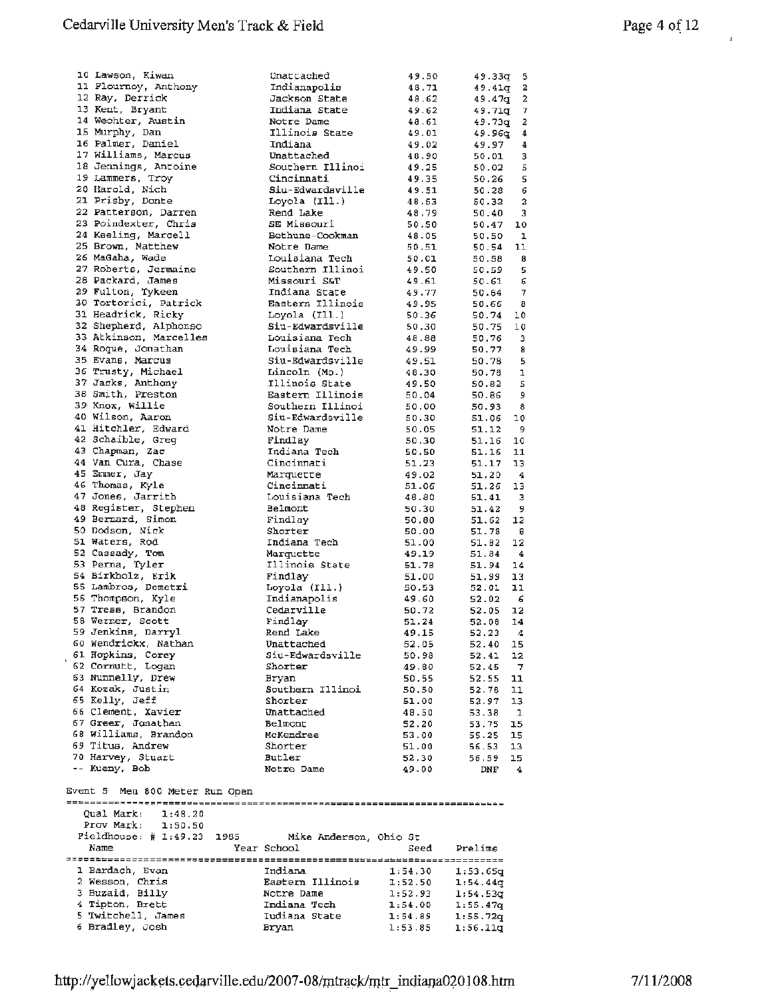| 10 Lawson, Kiwan               | Unattached                     | 49.50   | 49.33g             | - 5                       |
|--------------------------------|--------------------------------|---------|--------------------|---------------------------|
| 11 Plournoy, Anthony           | Indianapolis                   | 48.71   | 49.41 <sub>q</sub> | 2                         |
| 12 Ray, Derrick                | Jackson State                  | 48.62   | 49.47g             | 2                         |
| 13 Kent, Bryant                | Indiana State                  | 49.62   |                    | 7                         |
|                                |                                |         | 49.71q             |                           |
| 14 Wechter, Austin             | Notre Dame                     | 48.61   | 49.73g             | 2                         |
| 15 Murphy, Dan                 | Illinois State                 | 49.01   | 49.96q             | 4                         |
| 16 Palmer, Daniel              | Indiana                        | 49.02   | 49.97              | 4                         |
| 17 Williams, Marcus            | Unattached                     | 48.90   | 50.01              | 3                         |
| 18 Jennings, Antoine           | Southern Illinoi               | 49.25   | 50.02              | 5                         |
| 19 Lammers, Troy               | Cincinnati                     | 49.35   | 50.26              | 5                         |
|                                |                                |         |                    |                           |
| 20 Karold, Nich                | Siu-Edwardsville               | 49.51   | 50.28              | 6                         |
| 21 Prisby, Donte               | Loyola (Ill.)                  | 48.53   | 50.32              | $\boldsymbol{\mathsf{2}}$ |
| 22 Patterson, Darren           | Rend Lake                      | 48.79   | 50.40              | 3                         |
| 23 Poindexter, Chris           | SE Missouri                    | 50.50   | 50.47              | 10                        |
| 24 Keeling, Marcell            | Bethune-Cookman                | 48.05   | 50.50              | $\mathbf{1}$              |
| 25 Brown, Matthew              | Notre Dame                     | 50.51   | 50.54              | 11                        |
|                                |                                |         |                    |                           |
| 26 MaGaha, Wade                | Louisiana Tech                 | 50.01   | 50.58              | - 8                       |
| 27 Roberts, Jermaine           | Southern Illinoi               | 49.50   | 50.59              | 5                         |
| 28 Packard, James              | Missouri S&T                   | 49.61   | 50.61              | б                         |
| 29 Fulton, Tykeen              | Indiana State                  | 49.77   | 50.64              | $\overline{7}$            |
| 30 Tortorici, Patrick          | Eastern Illinois               | 49.95   | 50.66              | - 8                       |
| 31 Headrick, Ricky             | Loyola $(II.)$                 | 50.36   | 50.74              | 10                        |
|                                |                                |         |                    |                           |
| 32 Shepherd, Alphonso          | Siu-Edwardsville               | 50.30   | 50.75              | 10                        |
| 33 Atkinson, Marcelles         | Louisiana Tech                 | 48.88   | 50.76              | 3                         |
| 34 Roque, Jonathan             | Louisiana Tech                 | 49.99   | 50.77              | 8                         |
| 35 Evans, Marcus               | Siu-Edwardsville               | 49.51   | 50.78              | 5                         |
| 36 Trusty, Michael             | Lincoln (Mo.)                  | 48.30   | 50.78              | ı                         |
|                                | Illinois State                 |         |                    |                           |
| 37 Jacks, Anthony              |                                | 49.50   | 50.82              | 5                         |
| 38 Smith, Preston              | Eastern Illinois               | 50.04   | 50.86              | و                         |
| 39 Knox, Willie                | Southern Illinoi               | 50.00   | 50.93              | 8                         |
| 40 Wilson, Aaron               | Siu-Edwardsville               | 50.30   | 51.06              | 10                        |
| 41 Hitchler, Edward            | Notre Dame                     | 50.05   | 51.12              | - 9                       |
| 42 Schaible, Greq              | Findlay                        | 50.30   | 51.16              | 10                        |
|                                |                                |         |                    |                           |
| 43 Chapman, Zac                | Indiana Tech                   | 50.50   | 51.16              | 11                        |
| 44 Van Cura, Chase             | Cincinnati                     | 51.23   | 51.17              | 13                        |
| 45 Emmer, Jay                  | Marquette                      | 49.02   | 51.20              | $\overline{4}$            |
| 46 Thomas, Kyle                | Cincinnati                     | 51.06   | 51.26              | 13                        |
| 47 Jones, Jarrith              | Louisiana Tech                 | 46.80   | 51.41              | - 3                       |
| 48 Register, Stephen           | Belmont                        | 50.30   | 51.42              | - 9                       |
| 49 Bernard, Simon              | Findlay                        |         |                    | 12                        |
|                                |                                | 50.80   | 51.62              |                           |
| 50 Dodson, Nick                |                                |         |                    |                           |
|                                | Shorter                        | 50.00   | 51.78              | - 6                       |
| 51 Waters, Rod                 | Indiana Tech                   | 51.00   | 51.82              | 12                        |
| 52 Cassady, Tom                | Marquette                      | 49.19   | 51.84              | $\overline{4}$            |
|                                |                                |         |                    |                           |
| 53 Perna, Tyler                | Illinois State                 | 51.78   | 51.94              | 14                        |
| 54 Birkholz, Erik              | Findlay                        | 51.00   | 51.99              | 13                        |
| 55 Lambros, Demetri            | Loyola (Ill.)                  | 50.53   | 52.01              | 11                        |
| 56 Thompson, Kyle              | Indianapolis                   | 49.60   | 52.02              | - 6                       |
| 57 Tress, Brandon              | Cedarville                     | 50.72   | 52.05              | 12                        |
| 58 Werner, Scott               | Findlay                        | 51.24   | 52.08              | 14                        |
| 59 Jenkins, Darryl             | Rend Lake                      |         |                    | -4                        |
|                                |                                | 49.15   | 52.23              |                           |
| 60 Wendrickx, Nathan           | Unattached                     | 52.05   | 52.40              | 15                        |
| 61 Hopkins, Corey              | Siu-Edwardsville               | 50.98   | 52.41              | 12                        |
| 62 Cornutt, Logan              | Shorter                        | 49.80   | 52.45              | $\overline{7}$            |
| 63 Nunnelly, Drew              | Bryan                          | 50.55   | 52.55              | 11                        |
| 64 Kozak, Justin               | Southern Illinoi               | 50.50   | 52.78              | 11                        |
| 65 Kelly, Jeff                 | Shorter                        | 51.00   | 52.97              | 13                        |
| 66 Clement, Xavier             | Unattached                     | 48.50   |                    |                           |
|                                |                                |         | 53.38              | -1                        |
| 67 Greer, Jonathan             | Belmont                        | 52.20   | 53.75              | 15                        |
| 68 Williams, Brandon           | McKendree                      | 53.00   | 55.25              | 15                        |
| 69 Titus, Andrew               | Shorter                        | 51.00   | 56.53              | 13                        |
| 70 Harvey, Stuart              | <b>Butler</b>                  | 52,30   | 56.59              | 15                        |
| -- Kueny, Bob                  | Notre Dame                     | 49.00   | DNF                | $\overline{4}$            |
|                                |                                |         |                    |                           |
|                                |                                |         |                    |                           |
| Event 5 Men 800 Meter Run Open |                                |         |                    |                           |
|                                |                                |         |                    |                           |
| Qual Mark:<br>1:48.20          |                                |         |                    |                           |
| Prov Mark;<br>1:50.50          |                                |         |                    |                           |
| Fieldhouse: $\sharp$ 1:49.23   | 1985<br>Mike Anderson, Ohio St |         |                    |                           |
| Name                           | Year School                    | Seed    | Prelims            |                           |
|                                |                                |         |                    |                           |
|                                |                                |         |                    |                           |
| 1 Bardach, Evan                | Indiana                        | 1:54.30 | 1:53.65q           |                           |
| 2 Wesson, Chris                | Eastern Illinois               | 1:52.50 | 1:54.44q           |                           |
| 3 Buzaid, Billy                | Notre Dame                     | 1:52.93 | 1:54.53q           |                           |
| 4 Tipton, Brett                | Indiana Tech                   | 1:54.00 | 1:55.47q           |                           |
| 5 Twitchell, James             | Iudiana State                  | 1:54.89 | 1:55.72q           |                           |
| 6 Bradley, Josh                | Bryan                          | 1:53.85 | 1:56.11q           |                           |

 $\mathbf{r}$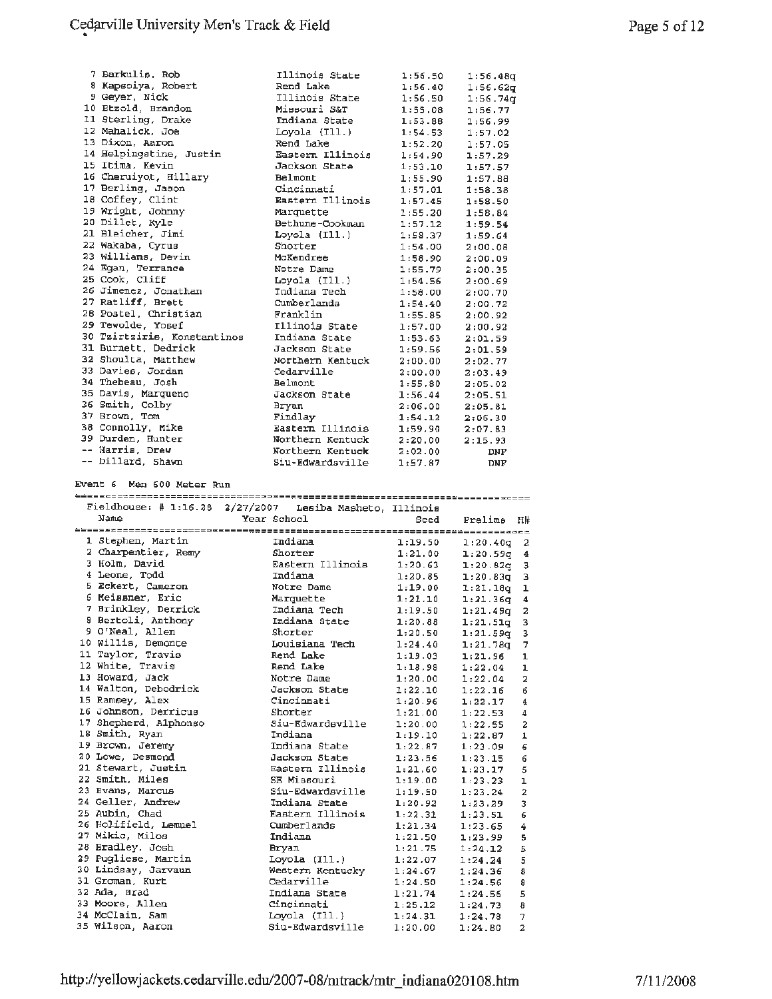| 7 Barkulis, Rob             | Illinois State   | 1:56.50 | 1:56.48q   |
|-----------------------------|------------------|---------|------------|
| 8 Kapsoiya, Robert          | Rend Lake        | 1:56.40 | 1:56.62q   |
| 9 Geyer, Nick               | Illinois State   | 1:56.50 | 1:56.74q   |
| 10 Etzold, Brandon          | Missouri S&T     | 1:55.08 | 1:56.77    |
| 11 Sterling, Drake          | Indiana State    | 1:53.88 | 1:56.99    |
| 12 Mahalick, Joe            | Loyola (Ill.)    | 1:54.53 | 1:57.02    |
| 13 Dixon, Aaron             | Rend Lake        | 1:52.20 | 1:57.05    |
| 14 Helpingstine, Justin     | Eastern Illinois | 1:54.90 | 1:57.29    |
| 15 Itima, Kevin             | Jackson State    | 1:53.10 | 1:57.57    |
| 16 Cheruiyot, Hillary       | Belmont          | 1:55.90 | 1:57.88    |
| 17 Berling, Jason           | Cincinnati       | 1:57.01 | 1:58.38    |
| 18 Coffey, Clint            | Eastern Illinois | 1:57.45 | 1:58.50    |
| 19 Wright, Johnny           | Marquette        | 1:55.20 | 1:58.84    |
| 20 Dillet, Kyle             | Bethune-Cookman  | 1:57.12 | 1:59.54    |
| 21 Bleicher, Jimi           | Loyola $(II1.)$  | 1:58.37 | 1:59.64    |
| 22 Wakaba, Cyrus            | Shorter          | 1:54.00 | 2:00.08    |
| 23 Williams, Devin          | McKendree        | 1:58.90 | 2:00.09    |
| 24 Egan, Terrance           | Notre Dame       | 1:55.79 | 2:00.35    |
| 25 Cook, Cliff              | Loyola (Ill.)    | 1:54.56 | 2:00.69    |
| 26 Jimenez, Jonathan        | Indiana Tech     | 1:58.00 | 2:00.70    |
| 27 Ratliff, Brett           | Cumberlands      | 1:54.40 | 2:00.72    |
| 28 Postel, Christian        | Franklin         | 1:55.85 | 2:00.92    |
| 29 Tewolde, Yosef           | Illinois State   | 1:57.00 | 2:00.92    |
| 30 Tzirtziris, Konstantinos | Indiana State    | 1:53.63 | 2:01.59    |
| 31 Burnett, Dedrick         | Jackson State    | 1:59.56 | 2:01.59    |
| 32 Shoulta, Matthew         | Northern Kentuck | 2:00.00 | 2:02.77    |
| 33 Davies, Jordan           | Cedarville       | 2:00.00 | 2:03.49    |
| 34 Thebeau, Josh            | Belmont          | 1:55.80 | 2:05.02    |
| 35 Davis, Marqueno          | Jackson State    | 1:56.44 | 2:05.51    |
| 36 Smith, Colby             | Bryan            | 2:06.00 | 2:05.81    |
| 37 Brown, Tom               | Findlay          | 1:54.12 | 2:06.30    |
| 38 Connolly, Mike           | Eastern Illinois | 1:59.90 | 2:07.83    |
| 39 Durden, Hunter           | Northern Kentuck | 2:20.00 | 2:15.93    |
| -- Harris, Drew             | Northern Kentuck | 2:02.00 | <b>DNF</b> |
| -- Dillard, Shawn           | Siu-Edwardsville | 1:57.87 | <b>DNF</b> |

Event 6 Men 600 Meter Run

|                       | Fieldhouse: # $1:16.28$ $2/27/2007$ Lesiba Masheto, Illinois |         |                           |  |  |  |
|-----------------------|--------------------------------------------------------------|---------|---------------------------|--|--|--|
| Name                  | Year School                                                  | Seed    | Prelime<br>НĦ             |  |  |  |
|                       |                                                              |         |                           |  |  |  |
| 1 Stephen, Martin     | Indiana                                                      | 1:19.50 | $1:20.40q$ 2              |  |  |  |
| 2 Charpentier, Remy   | Shorter                                                      | 1:21.00 | $1:20.59\sigma$ 4         |  |  |  |
| 3 Holm, David         | Eastern Illinois                                             | 1:20.63 | $1:20.82q$ 3              |  |  |  |
| 4 Leone, Todd         | Indiana                                                      | 1:20.85 | $1:20.83q$ 3              |  |  |  |
| 5 Eckert, Cameron     | Notre Dame                                                   | 1:19.00 | $1:21.18q$ 1              |  |  |  |
| 6 Meissner, Eric      | Marquette                                                    | 1:21.10 | $1:21.36q$ 4              |  |  |  |
| 7 Brinkley, Derrick   | Indiana Tech                                                 | 1:19.50 | $1:21.49q$ 2              |  |  |  |
| 8 Bertoli, Anthony    | Indiana State                                                | 1:20.88 | $1:21.51\sigma$<br>3      |  |  |  |
| 9 O'Neal, Allen       | Shorter                                                      | 1:20.50 | $1:21.59$ q<br>3          |  |  |  |
| 10 Willis, Demonte    | Louisiana Tech                                               | 1:24.40 | 7<br>1:21.78q             |  |  |  |
| 11 Taylor, Travis     | Rend Lake                                                    | 1:19.03 | 1:21.96<br>$\mathbf{1}$   |  |  |  |
| 12 White, Travis      | Rend Lake                                                    | 1:18.98 | 1:22.04<br>$\mathbf{1}$   |  |  |  |
| 13 Howard, Jack       | Notre Dame                                                   | 1:20.00 | $\overline{2}$<br>1:22.04 |  |  |  |
| 14 Walton, Debodrick  | Jackson State                                                | 1:22.10 | 6<br>1:22.16              |  |  |  |
| 15 Ramsey, Alex       | Cincinnati                                                   | 1:20.96 | 4<br>1:22.17              |  |  |  |
| 16 Johnson, Derricus  | Shorter                                                      | 1:21.00 | 4<br>1:22.53              |  |  |  |
| 17 Shepherd, Alphonso | Siu-Edwardsville                                             | 1:20.00 | $\overline{a}$<br>1:22.55 |  |  |  |
| 18 Smith, Ryan        | Indiana                                                      | 1:19.10 | $\mathbf{1}$<br>1:22.87   |  |  |  |
| 19 Brown, Jeremy      | Indiana State                                                | 1:22.87 | 6<br>1:23.09              |  |  |  |
| 20 Lowe, Desmond      | Jackson State                                                | 1:23.56 | 6<br>1:23.15              |  |  |  |
| 21 Stewart, Justin    | Eastern Illinois                                             | 1:21.60 | 5<br>1:23.17              |  |  |  |
| 22 Smith, Miles       | SE Missouri                                                  | 1:19.00 | ı<br>1:23.23              |  |  |  |
| 23 Evans, Marcus      | Siu-Edwardsville                                             | 1:19.50 | $\overline{a}$<br>1:23.24 |  |  |  |
| 24 Geller, Andrew     | Indiana State                                                | 1:20.92 | 3<br>1:23.29              |  |  |  |
| 25 Aubin, Chad        | Eastern Illinois                                             | 1:22.31 | 6<br>1:23.51              |  |  |  |
| 26 Holifield, Lemuel  | Cumberlands                                                  | 1:21.34 | $\overline{4}$<br>1:23.65 |  |  |  |
| 27 Mikic, Milos       | Indiana                                                      | 1:21.50 | 5<br>1:23.99              |  |  |  |
| 28 Bradley, Josh      | <b>Bryan</b>                                                 | 1:21.75 | 5<br>1:24.12              |  |  |  |
| 29 Pugliese, Martin   | Loyola (Ill.)                                                | 1:22.07 | 5<br>1:24.24              |  |  |  |
| 30 Lindsay, Jarvaun   | Western Kentucky                                             | 1:24.67 | 8<br>1:24.36              |  |  |  |
| 31 Groman, Kurt       | Cedarville                                                   | 1:24.50 | 8<br>1:24.56              |  |  |  |
| 32 Ada, Brad          | Indiana State                                                | 1:21.74 | 5<br>1:24.56              |  |  |  |
| 33 Moore, Allen       | Cincinnati                                                   | 1:25.12 | 8<br>1:24.73              |  |  |  |
| 34 McClain. Sam       | Loyola (Ill.)                                                | 1:24.31 | 7<br>1:24.78              |  |  |  |
| 35 Wilson, Aaron      | Siu-Edwardsville                                             | 1:20.00 | $\overline{a}$<br>1:24.80 |  |  |  |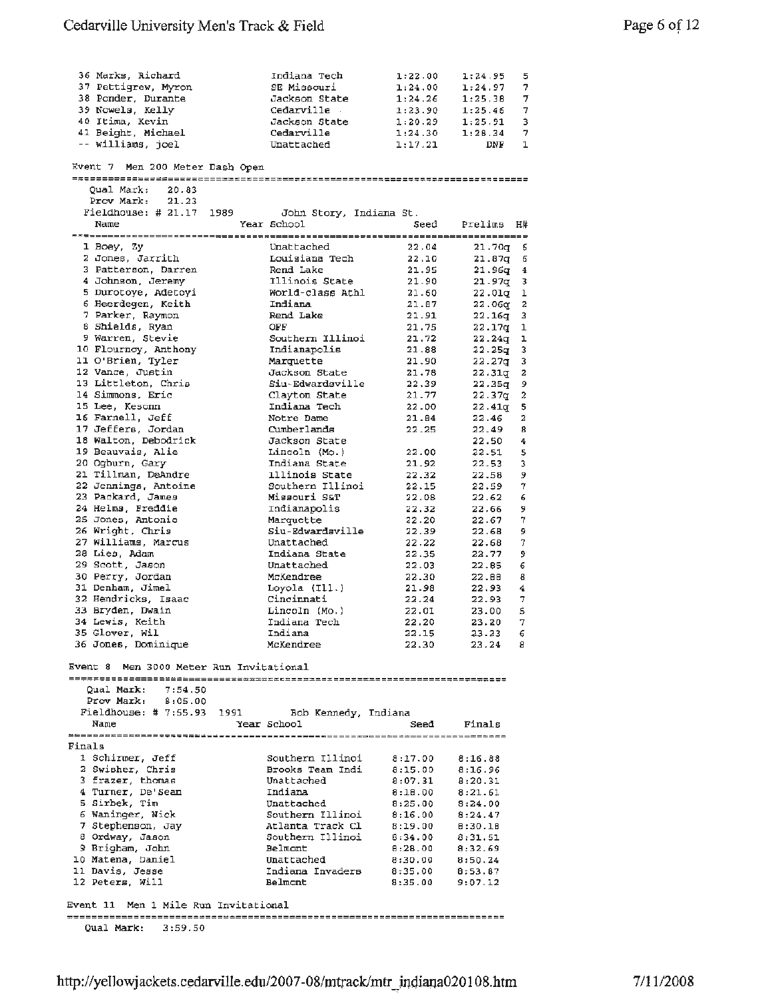|        | 36 Marks, Richard                                | Indiana Tech         | 1:22.00 | 1:24.95            | 5                       |
|--------|--------------------------------------------------|----------------------|---------|--------------------|-------------------------|
|        | 37 Pettigrew, Myron                              | SE Missouri          | 1:24.00 | 1:24.97            | -7                      |
|        | 38 Ponder, Durante                               | Jackson State        | 1:24.26 | 1:25.38            | 7                       |
|        | 39 Nowels, Kelly                                 | Cedarville           | 1:23.90 | 1:25.46            | 7                       |
|        | 40 Itima, Kevin                                  | Jackson State        | 1:20.29 | 1:25.91            | 3                       |
|        |                                                  |                      |         |                    |                         |
|        | 41 Beight, Michael                               | Cedarville           | 1:24.30 | 1:28.34            | -7                      |
|        | -- williams, joel                                | Unattached           | 1:17.21 | DNF                | 1                       |
|        |                                                  |                      |         |                    |                         |
|        | Event 7 Men 200 Meter Dash Open                  |                      |         |                    |                         |
|        |                                                  |                      |         |                    |                         |
|        | Qual Mark:<br>20.83                              |                      |         |                    |                         |
|        | Prov Mark:<br>21.23                              |                      |         |                    |                         |
|        | Fieldhouse: # 21.17 1989 John Story, Indiana St. |                      |         |                    |                         |
|        |                                                  |                      |         |                    |                         |
|        | Name                                             | Year School          | Seed    | Prelims H#         |                         |
|        |                                                  |                      |         |                    |                         |
|        | 1 Boey, Zy                                       | Unattached           | 22.04   | 21.70q 6           |                         |
|        | 2 Jones, Jarrith                                 | Louisiana Tech       | 22.10   | $21.87q$ 6         |                         |
|        | 3 Patterson, Darren                              | Rend Lake            | 21.95   | $21.96q$ 4         |                         |
|        |                                                  |                      |         |                    |                         |
|        | 4 Johnson, Jeremy                                | Illinois State       | 21.90   | $21.97q - 3$       |                         |
|        | 5 Durotoye, Adetoyi                              | World-class Athl     | 21.60   | 22.01g 1           |                         |
|        | 6 Heerdegen, Keith                               | Indiana              | 21.87   | 22.06q 2           |                         |
|        | 7 Parker, Raymon                                 | Rend Lake            | 21.91   | $22.16q$ 3         |                         |
|        | 8 Shields, Ryan                                  | OFF                  | 21.75   | 22.17q             | 1                       |
|        | 9 Warren, Stevie                                 | Southern Illinoi     | 21.72   | 22.24q             | ı                       |
|        | 10 Flournoy, Anthony                             |                      |         |                    |                         |
|        |                                                  | Indianapolis         | 21.88   | 22.25g             | 3                       |
|        | 11 O'Brien, Tyler                                | Marquette            | 21.90   | 22.27g             | 3                       |
|        | 12 Vance, Justin                                 | Jackson State        | 21.78   | 22.31q             | 2                       |
|        | 13 Littleton, Chris                              | Siu-Edwardsville     | 22.39   | 22.35q             | 9                       |
|        | 14 Simmons, Eric                                 | Clayton State        | 21.77   | 22.37q             | 2                       |
|        | 15 Lee, Kesonn                                   | Indiana Tech         | 22.00   | 22.41 <sub>q</sub> | 5                       |
|        |                                                  |                      |         |                    |                         |
|        | 16 Farnell, Jeff                                 | Notre Dame           | 21.84   | 22.46              | 2                       |
|        | 17 Jeffers, Jordan                               | Cumberlands          | 22.25   | 22.49              | 8                       |
|        | 18 Walton, Debodrick                             | Jackson State        |         | 22.50              | $\overline{\mathbf{4}}$ |
|        | 19 Beauvais, Alie                                | Lincoln (Mo.)        | 22.00   | 22.51              | 5                       |
|        | 20 Ogburn, Gary                                  | Indiana State        | 21.92   | 22.53              | 3                       |
|        | 21 Tillman, DeAndre                              | lllinois State       | 22.32   | 22.58              | 9                       |
|        |                                                  |                      |         |                    |                         |
|        | 22 Jennings, Antoine                             | Southern Illinoi     | 22.15   | 22.59              | 7                       |
|        | 23 Packard, James                                | Missouri S&T         | 22.08   | 22.62              | 6                       |
|        | 24 Helms, Freddie                                | Indianapolis         | 22.32   | 22.66              | 9                       |
|        | 25 Jones, Antonio                                | Marquette            | 22.20   | 22.67              | $\boldsymbol{7}$        |
|        | 26 Wright, Chris                                 | Siu-Edwardsville     | 22.39   | 22.68              | 9                       |
|        | 27 Williams, Marcus                              | Unattached           | 22.22   | 22.68              | 7                       |
|        | 28 Lies, Adam                                    |                      |         |                    |                         |
|        |                                                  | Indiana State        | 22.35   | 22.77              | 9                       |
|        | 29 Scott, Jason                                  | Unattached           | 22.03   | 22.85              | 6                       |
|        | 30 Perry, Jordan                                 | McKendree            | 22.30   | 22.88              | 8                       |
|        | 31 Denham, Jimel                                 | Loyola $(II.)$       | 21.98   | 22.93              | 4                       |
|        | 32 Hendricks, Isaac                              | Cincinnati           | 22.24   | 22.937             |                         |
|        | 33 Bryden, Dwain                                 | Lincoln (Mo.)        | 22.01   | 23.00              | 5                       |
|        | 34 Lewis, Keith                                  | Indiana Tech         | 22.20   | 23.20              | 7                       |
|        | 35 Glover, Wil                                   | Indiana              |         | $23.23$ 6          |                         |
|        |                                                  |                      | 22.15   |                    |                         |
|        | 36 Jones, Dominique                              | McKendree            |         | 22.30 23.24 8      |                         |
|        |                                                  |                      |         |                    |                         |
|        | Event 8 Men 3000 Meter Run Invitational          |                      |         |                    |                         |
|        |                                                  |                      |         |                    |                         |
|        | Qual Mark:<br>7:54.50                            |                      |         |                    |                         |
|        | Prov Mark:<br>8:05.00                            |                      |         |                    |                         |
|        | Fieldhouse: $# 7:55.93$<br>1991                  | Bob Kennedy, Indiana |         |                    |                         |
|        | Name                                             |                      |         |                    |                         |
|        |                                                  | Year School          | Seed    | Finals             |                         |
|        |                                                  |                      |         |                    |                         |
| Finals |                                                  |                      |         |                    |                         |
|        | 1 Schirmer, Jeff                                 | Southern Illinoi     | 8:17.00 | 8:16.88            |                         |
|        | 2 Swisher, Chris                                 | Brooks Team Indi     | 8:15.00 | 8:16.96            |                         |
|        | 3 frazer, thomas                                 | Unattached           | 8:07.31 | 8:20.31            |                         |
|        | 4 Turner, De'Sean                                | Indiana              | 8:18.00 | 8:21.61            |                         |
|        |                                                  |                      |         |                    |                         |
|        | 5 Sirbek, Tim                                    | Unattached           | 8:25.00 | 8:24.00            |                         |
|        | 6 Waninger, Nick                                 | Southern Illinoi     | 8:16.00 | 8:24.47            |                         |
|        | 7 Stephenson, Jay                                | Atlanta Track Cl     | 8:19.00 | B:30.1B            |                         |
|        | 8 Ordway, Jason                                  | Southern Illinoi     | 8:34.00 | 8:31.51            |                         |
|        | 9 Brigham, John                                  | Belmont              | 8:28.00 | 8:32.69            |                         |
|        | 10 Matena, Daniel                                | Unattached           | 8:30.00 | 8:50.24            |                         |
|        |                                                  |                      |         |                    |                         |
|        | 11 Davis, Jesse                                  | Indiana Invaders     | 8:35.00 | 8:53.87            |                         |
|        | 12 Peters, Will                                  | Belmont              | 8:35.00 | 9:07.12            |                         |
|        |                                                  |                      |         |                    |                         |
|        | Event 11 Men 1 Mile Run Invitational             |                      |         |                    |                         |
|        |                                                  |                      |         |                    |                         |
|        | <b>Oual Mark:</b><br>3:59.50                     |                      |         |                    |                         |
|        |                                                  |                      |         |                    |                         |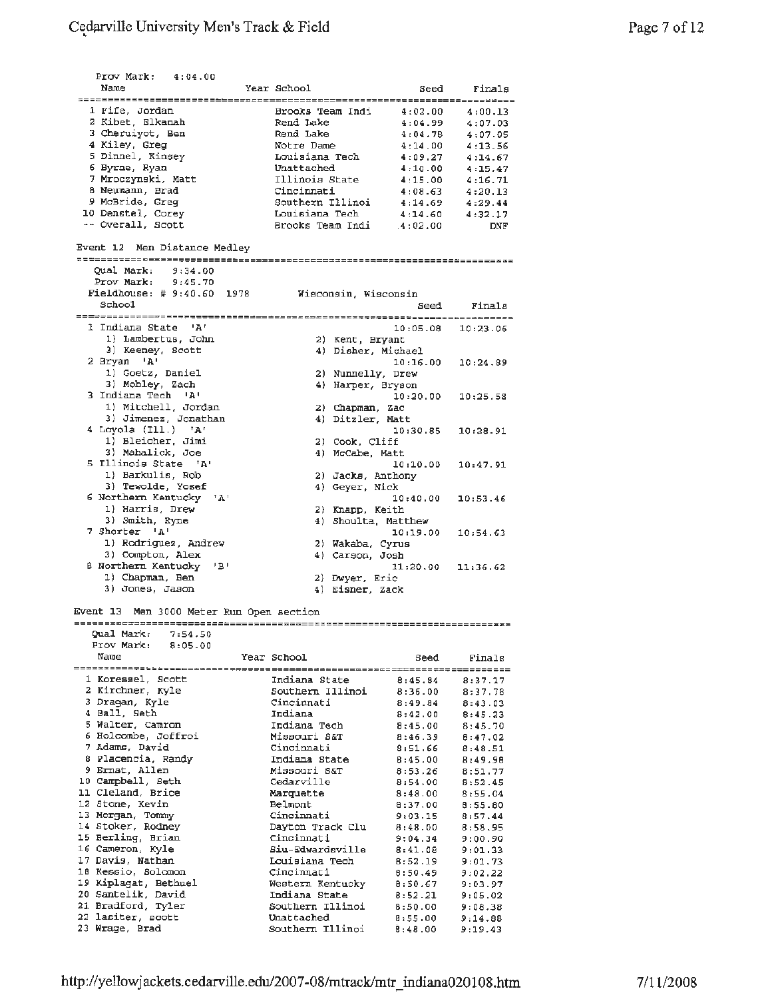| Prov Mark: $4:04.00$                            |                          |                       |             |
|-------------------------------------------------|--------------------------|-----------------------|-------------|
| Name                                            | Year School              | Seed                  | Finals      |
|                                                 |                          |                       |             |
| 1 Fife, Jordan                                  | Brooks Team Indi         | 4:02.00               | 4:00.13     |
| 2 Kibet, Elkanah                                | Rend Lake                | 4:04.99               | 4:07.03     |
| 3 Cheruiyot, Ben                                | Rend Lake                | 4:04.78               | 4:07.05     |
| 4 Kiley, Greg                                   | Notre Dame               | 4:14.00               | 4:13.56     |
| 5 Dinnel, Kinsey                                | Louisiana Tech           | 4:09.27               | 4:14.67     |
| 6 Byrne, Ryan                                   | Unattached               | 4:10.00               | 4:15.47     |
| 7 Mroczynski, Matt                              | Illinois State           | 4:15.00               | 4:16.71     |
| 8 Neumann, Brad                                 | Cincinnati               | 4:08.63               | 4:20.13     |
| 9 McBride, Greg                                 | Southern Illinoi 4:14.69 |                       | 4:29.44     |
| 10 Denstel, Corey                               | Louisiana Tech           | 4:14.60               | 4:32.17     |
| -- Overall, Scott                               | Brooks Team Indi 4:02.00 |                       | DNF         |
|                                                 |                          |                       |             |
| Event 12 Men Distance Medley                    |                          |                       |             |
|                                                 |                          |                       |             |
| Qual Mark: 9:34.00                              |                          |                       |             |
| Prov Mark: 9:45.70                              |                          |                       |             |
| Fieldhouse: # 9:40.60 1978 Wisconsin, Wisconsin |                          |                       |             |
| School                                          |                          |                       | Seed Finals |
|                                                 |                          |                       |             |
| 1 Indiana State 'A'                             |                          | 10:05.08 10:23.06     |             |
| 1) Lambertus, John                              | 2) Kent, Bryant          |                       |             |
| 3) Keeney, Scott                                | 4) Disher, Michael       |                       |             |
|                                                 |                          |                       |             |
| 2 Bryan 'A'                                     |                          | 10:16.00              | 10:24.89    |
| 1) Goetz, Daniel                                | 2) Nunnelly, Drew        |                       |             |
| 3) Mobley, Zach                                 | 4) Harper, Bryson        |                       |             |
| 3 Indiana Tech 'A'                              |                          | 10:20.00              | 10:25.58    |
| 1) Mitchell, Jordan                             | 2) Chapman, Zac          |                       |             |
| 3) Jimenez, Jonathan                            | 4) Ditzler, Matt         |                       |             |
| 4 Loyola (Ill.) 'A'                             |                          | 10:30.85              | 10:28.91    |
| 1) Bleicher, Jimi                               | 2) Cook, Cliff           |                       |             |
| 3) Mahalick, Joe                                | 4) McCabe, Matt          |                       |             |
| 5 Illinois State 'A'                            |                          | 10:10.00              | 10:47.91    |
| 1) Barkulis, Rob                                | 2) Jacks, Anthony        |                       |             |
| 3) Tewolde, Yosef                               | 4) Geyer, Nick           |                       |             |
| 6 Northern Kentucky 'A'                         |                          | 10:40.00              | 10:53.46    |
| 1) Harris, Drew                                 | 2) Knapp, Keith          |                       |             |
| 3) Smith, Ryne                                  | 4) Shoulta, Matthew      |                       |             |
| 7 Shorter 'A'                                   |                          |                       |             |
| 1) Rodriguez, Andrew                            |                          | 10:19.00              | 10:54.63    |
|                                                 | 2) Wakaba, Cyrus         |                       |             |
| 3) Compton, Alex                                | 4) Carson, Josh          |                       |             |
| <b>B</b> Northern Kentucky<br>1B !              |                          | $11:20.00$ $11:36.62$ |             |
| 1) Chapman, Ben                                 | 2) Dwyer, Eric           |                       |             |
| 3) Jones, Jason                                 | 4) Eisner, Zack          |                       |             |
|                                                 |                          |                       |             |
| Event 13 Men 3000 Meter Run Open section        |                          |                       |             |
|                                                 |                          |                       |             |
| Qual Mark:<br>7:54.50                           |                          |                       |             |
| Prov Mark:<br>8:05.00                           |                          |                       |             |
| Name                                            | Year School              | Seed                  | Finals      |
|                                                 |                          |                       |             |
| 1 Koressel, Scott                               | Indiana State            | 8:45.84               | 8:37.17     |
| 2 Kirchner, Kyle                                | Southern Illinoi         | 8:36.00               | 8:37.78     |
| 3 Dragan, Kyle                                  | Cincinnati               | 8:49.84               | 8:43.03     |
| 4 Ball, Seth                                    | Indiana                  | 8:42.00               | 8:45.23     |
| 5 Walter, Camron                                | Indiana Tech             | 8:45.00               | 8:45.70     |
| 6 Holcombe, Joffroi                             | Missouri S&T             | 8:46.39               | 8:47.02     |
| 7 Adams, David                                  | Cincinnati               | 8:51.66               | 8:48.51     |
| 8 Placencia, Randy                              | Indiana State            | 8:45.00               | 8:49.98     |
| 9 Ernst, Allen                                  | Missouri S&T             | 8:53.26               | 8:51.77     |
| 10 Campbell, Seth                               | Cedarville               | 8:54.00               | 8:52.45     |
| 11 Cleland, Brice                               | Marquette                |                       |             |
| 12 Stone, Kevin                                 | Belmont                  | 8:48.00               | 8:55.04     |
|                                                 | Cincinnati               | 8:37.00               | 8:55.80     |
| 13 Morgan, Tommy                                |                          | 9:03.15               | 8:57.44     |
| 14 Stoker, Rodney                               | Dayton Track Clu         | 8:48.00               | 8:58.95     |
| 15 Berling, Brian                               | Cincinnati               | 9:04.34               | 9:00.90     |
| 16 Cameron, Kyle                                | Siu-Edwardsville         | 8:41.08               | 9:01.33     |
| 17 Davis, Nathan                                | Louisiana Tech           | 8:52.19               | 9:01.73     |
| 18 Kessio, Solomon                              | Cincinnati               | 6:50.49               | 9:02.22     |
| 19 Kiplagat, Bethuel                            | Western Kentucky         | 8:50.67               | 9:03.97     |
| 20 Santelik, David                              | Indiana State            | 8:52.21               | 9:05.02     |
| 21 Bradford, Tyler                              | Southern Illinoi         | 8:50.00               | 9:08.38     |
| 22 lasiter, scott                               | Unattached               | 8:55.00               | 9:14.88     |
| 23 Wrage, Brad                                  | Southern Illinoi         | 8:48.00               | 9:19.43     |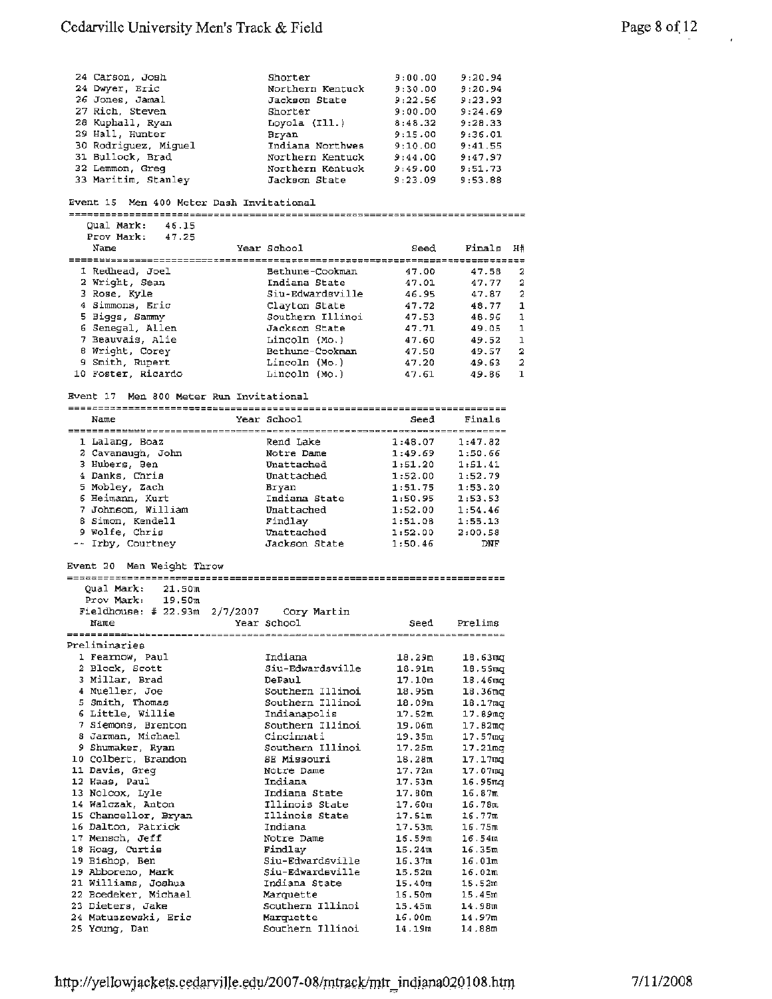#### Cedarville University Men's Track & Field

| 24 Carson, Josh                            | Shorter          | 9:00.00                            | 9:20.94             |                         |
|--------------------------------------------|------------------|------------------------------------|---------------------|-------------------------|
| 24 Dwyer, Eric                             | Northern Kentuck | 9:30.00                            | 9:20.94             |                         |
| 26 Jones, Jamal                            | Jackson State    | 9:22.56                            | 9:23.93             |                         |
| 27 Rich, Steven                            | Shorter          | 9:00.00                            | 9:24.69             |                         |
| 28 Kuphall, Ryan                           | Loyola $(III.)$  | 8:48.32                            | 9:28.33             |                         |
| 29 Hall, Hunter                            | <b>Bryan</b>     | 9:15.00                            | 9:36.01             |                         |
| 30 Rodriguez, Miguel                       | Indiana Northwes | 9:10.00                            | 9:41.55             |                         |
| 31 Bullock, Brad                           | Northern Kentuck | 9:44.00                            | 9:47.97             |                         |
| 32 Lemmon, Greq                            | Northern Kentuck | 9:49.00                            | 9:51.73             |                         |
| 33 Maritim, Stanley                        | Jackson State    | 9:23.09                            | 9:53.88             |                         |
| Event 15 Men 400 Meter Dash Invitational   |                  |                                    |                     |                         |
|                                            |                  |                                    |                     |                         |
| Oual Mark:<br>46.15                        |                  |                                    |                     |                         |
| Prov Mark:<br>47.25                        |                  |                                    |                     |                         |
| Name                                       | Year School      | Seed                               | Finals              | НĦ                      |
|                                            |                  |                                    |                     |                         |
| 1 Redhead, Joel                            | Bethune-Cookman  | 47.00                              | 47.58               | 2                       |
| 2 Wright, Sean                             | Indiana State    | 47.01                              | 47.77               | $\overline{\mathbf{2}}$ |
| 3 Rose, Kyle                               | Siu-Edwardgville | 46.95                              | 47.87               | 2                       |
| 4 Simmons, Eric                            | Clayton State    | 47.72                              | 48.77               | 1                       |
| 5 Biggs, Sammy                             | Southern Illinoi | 47.53                              | 46.96               | 1                       |
| 6 Senegal, Allen                           | Jackson State    | 47.71                              | 49.05               | 1                       |
| 7 Beauvais, Alie                           | Lincoln (Mo.)    | 47.60                              | 49.52               | 1                       |
| 8 Wright, Corey                            | Bethune-Cookman  | 47.50                              | 49.57               | $\overline{\mathbf{z}}$ |
| 9 Smith, Rupert                            | Lincoln (Mo.)    | 47.20                              | 49.63               | 2                       |
| 10 Foster, Ricardo                         | Lincoln (Mo.)    | 47.61                              | 49.86               | 1                       |
|                                            |                  |                                    |                     |                         |
| Men 800 Meter Run Invitational<br>Event 17 |                  |                                    |                     |                         |
| Name                                       | Year School      | Seed                               | Finals              |                         |
|                                            |                  |                                    |                     |                         |
| 1 Lalang, Boaz                             | Rend Lake        | 1:48.07                            | 1:47.82             |                         |
| 2 Cavanaugh, John                          | Notre Dame       | 1:49.69                            | 1:50.66             |                         |
| 3 Hubers, Ben                              | Unattached       | 1:51.20                            | 1:51.41             |                         |
| 4 Danks, Chria                             | Unattached       | 1:52.00                            | 1:52.79             |                         |
| 5 Mobley, Zach                             | Bryan            | 1:51.75                            | 1:53.20             |                         |
| 6 Heimann, Kurt                            | Indiana State    | 1:50.95                            | 1:53.53             |                         |
| 7 Johnson, William                         | Unattached       | 1:52.00                            | 1:54.46             |                         |
| 8 Simon, Kendell                           | Findlay          | 1:51.08                            | 1:55.13             |                         |
| 9 Wolfe, Chris                             | Unattached       | 1:52.00                            | 2:00.58             |                         |
| -- Irby, Courtney                          | Jackson State    | 1:50.46                            | DNF                 |                         |
|                                            |                  |                                    |                     |                         |
| Event 20 Men Weight Throw                  |                  |                                    |                     |                         |
| Qual Mark:<br>21.50m                       |                  |                                    |                     |                         |
| Prov Mark:<br>19.50m                       |                  |                                    |                     |                         |
| Fieldhouse: # 22.93m $2/7/2007$            | Cory Martin      |                                    |                     |                         |
| Name                                       | Year School      | Seed                               | Prelims             |                         |
| <b>=====================</b> ========      |                  | ;================================= |                     |                         |
| Preliminaries                              |                  |                                    |                     |                         |
| 1 Fearnow, Paul                            | Indiana          | 18.29m                             | 18.63 <sub>mq</sub> |                         |
| 2 Block, Scott                             | Siu-Edwardsville | 18.91m                             | 18.55 <sub>mq</sub> |                         |
| 3 Millar, Brad                             | DePaul           | 17.10m                             | 18.46 <sub>mq</sub> |                         |
| 4 Mueller, Joe                             | Southern Illinoi | 18.95m                             | 18.36mg             |                         |
| 5 Smith, Thomas                            | Southern Illinoi | 18.09m                             | 18.17 <sub>mq</sub> |                         |
| 6 Little, Willie                           | Indianapolis     | 17.52m                             | 17.89mg             |                         |
| 7 Siemons, Brenton                         | Southern Illinoi | 19.06m                             | 17.82 <sub>ma</sub> |                         |
| 8 Jarman, Michael                          | Cincinnati       | 19.35m                             | 17.57 <sub>ma</sub> |                         |
| 9 Shumaker, Ryan                           | Southern Illinoi | 17.25m                             | 17.21mg             |                         |
|                                            |                  |                                    |                     |                         |

| Page 8 of 12 |  | 48 |
|--------------|--|----|
|              |  |    |

10 Colbert, Brandon SE Missouri 18.28m 17.17mg 11 Davis, Greg Notre Dame 17. 72m 17.07mg 12 Haas, Paul **Indiana** 17.53m 16.95mg 13 Nolcox, Lyle Indiana State 17.BOm 16.67m **14** Walczak, Anton Illinois State 17.60m 16.78m 15 Chancellor, Bryan 111 Chancel 17.51m 16.77m 16 Dalton, Patrick 1988, Indiana 1988, 1988, 1988, 1989, 1989, 1989, 1989, 1989, 1989, 1989, 1989, 1989, 1989 17 Mensch, Anton<br>
17 Mensch, Anton<br>
15 Chancellor, Bryan<br>
16 Dalton, Patrick<br>
17 Mensch, Jeff Notre Dame 16.59m 16.54m<br>
17 Mensch, Jeff Notre Dame 16.59m 16.54m<br>
18 Hoag, Curtis Findlay<br>
15.24m 16.35m 18 Hoag, Curtis **Findlay** 15.24m 16.35m 19 Bishop, Ben Siu-Edwardsville 16.37m 16.01m 19 Abboreno, **Mark** Siu-Edwardsville 15,52m 16.0lm 21 Williams, Joshua Indiana State 15.40m 15.52m **22** Boedeker, Michael Marquette 16.SOm 15.45m 19 Abboreno, Mark Sin-Euwardsville - 15.40m<br>
21 Williams, Joshua Indiana State 15.40m<br>
22 Boedeker, Michael Marquette 16.50m<br>
23 Dieters, Jake Southern Illinoi 15.45m<br>
24 Matuszewski, Eric Marquette 16.00m<br>
14.97m 24 **Matuszewski,** Eric Marquette 16.00m 14.97m **25** Young, Dan Southern Jllinoi 14.19m 14. 88m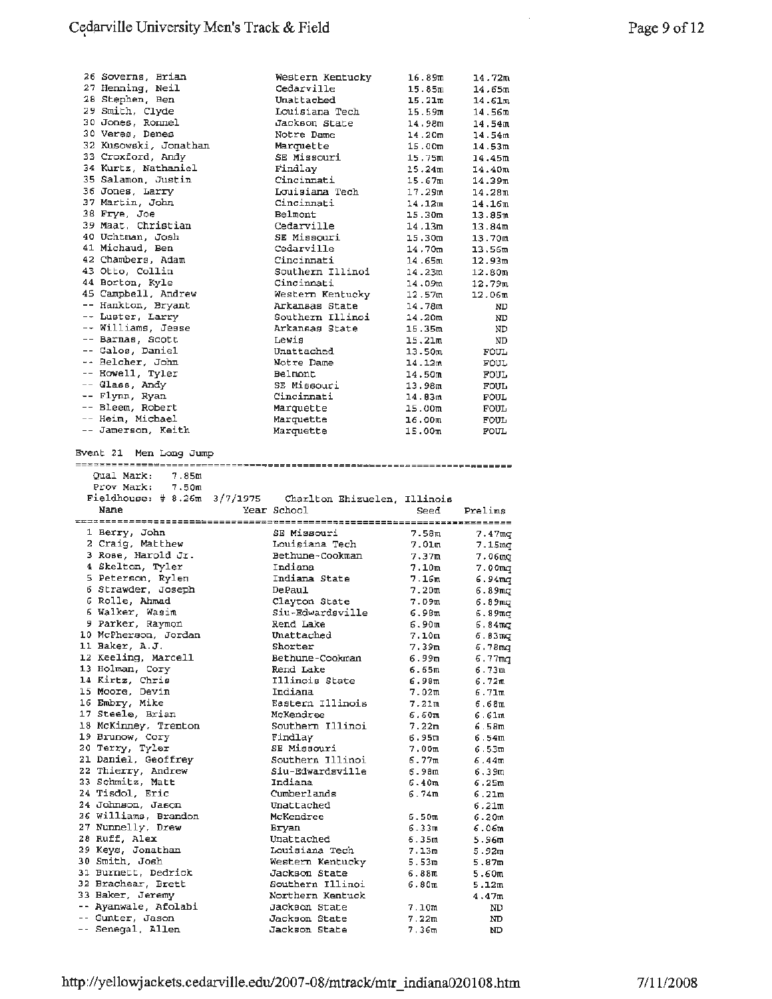| 26 Soverns, Brian                        | Western Kentucky                     | 16.89m             | 14.72m             |
|------------------------------------------|--------------------------------------|--------------------|--------------------|
| 27 Henning, Neil                         | Cedarville                           | 15.85m             | 14.65m             |
| 28 Stephen, Ben                          | Unattached                           | 15.21m             | 14.61m             |
| 29 Smith, Clyde                          | Louisiana Tech                       | 15.59m             | 14.56m             |
| 30 Jones, Ronnel                         | Jackson State                        | 14.98m             | 14.54m             |
| 30 Veres, Denes                          | Notre Dame                           | 14.20m             | 14.54m             |
| 32 Kusowski, Jonathan                    | Marquette                            | 15.00 <sub>m</sub> | 14.53m             |
| 33 Croxford, Andy                        | SE Missouri                          | 15.75m             | 14.45m             |
| 34 Kurtz, Nathaniel                      | Findlay                              | 15.24 <sub>π</sub> | 14.40m             |
| 35 Salamon, Justin                       | Cincinnati                           | 15.67m             | 14.39m             |
| 36 Jones, Larry                          | Louisiana Tech                       | 17.29m             | 14.28m             |
| 37 Martin, John                          | Cincinnati                           | 14.12m             | 14.16 <sub>m</sub> |
| 38 Frye, Joe                             | Belmont                              | 15.30m             | 13.85m             |
| 39 Maat. Christian                       | Cedarville                           | 14.13m             | 13.84m             |
| 40 Uchtman, Josh                         | SE Missouri                          | 15.30m             | 13.70m             |
| 41 Michaud, Ben                          | Cedarville                           | $14.70$ m          | 13.56m             |
| 42 Chambers, Adam                        | Cincinnati                           | 14.65m             | 12.93 <sub>m</sub> |
| 43 Otto, Collin                          | Southern Illinoi                     | 14.23m             | 12.80m             |
| 44 Borton, Kyle                          | Cincinnati                           | 14.09m             | 12.79m             |
| 45 Campbell, Andrew                      | Western Kentucky                     | 12.57ա             | 12.06 <sub>m</sub> |
| -- Hankton, Bryant                       | Arkansas State                       | 14.78m             | ND                 |
| -- Luster, Larry                         | Southern Illinoi                     | 14.20m             |                    |
| -- Williams, Jesse                       |                                      | 15.35m             | ND                 |
| -- Barnas, Scott                         | Arkansas State                       |                    | ND                 |
| -- Galos, Daniel                         | Lewis<br>Unattached                  | 15.21m             | ND                 |
|                                          |                                      | 13.50m             | FOUL               |
| -- Belcher, John                         | Notre Dame                           | 14.12m             | <b>FOUL</b>        |
| -- Howell, Tyler                         | Belmont                              | 14.50m             | FOUL               |
| -- Glass, Andy                           | SE Missouri                          | 13.98m             | <b>FOUL</b>        |
| -- Flynn, Ryan                           | Cincinnati                           | 14.83m             | FOUL               |
| -- Bleem, Robert                         | Marquette                            | 15.00m             | FOUL               |
| -- Heim, Michael                         | Marquette                            | 16.00m             | FOUL               |
| -- Jamerson, Keith                       | Marquette                            | 15.00 <sub>m</sub> | FOUL               |
|                                          |                                      |                    |                    |
| Event 21 Men Long Jump                   |                                      |                    |                    |
|                                          |                                      |                    |                    |
| <b>Oual Mark:</b><br>7.85m               |                                      |                    |                    |
| Prov Mark:<br>7.50m                      |                                      |                    |                    |
|                                          |                                      |                    |                    |
| Fieldhouse: $\# 8.26m 3/7/1975$          | Charlton Ehizuelen, Illinois         |                    |                    |
| Name                                     | Year School                          | Seed               | Prelims            |
|                                          |                                      |                    |                    |
| 1 Berry, John                            | SE Missouri                          | 7.58m              | 7.47mg             |
| 2 Craig, Matthew                         | Louisiana Tech                       | 7.01m              | 7.15 <sub>mq</sub> |
| 3 Rose, Harold Jr.                       | Bethune-Cookman                      | 7.37m              | 7.06 <sub>mq</sub> |
| 4 Skelton, Tyler                         | Indiana                              | 7.10 <sub>m</sub>  | 7.00 <sub>mq</sub> |
| 5 Peterson, Rylen                        | Indiana State                        | 7.16 <sub>m</sub>  | 6.94 m.a           |
| 6 Strawder, Joseph                       | DePaul                               | 7.20m              | 6.89 m.g           |
| 6 Rolle, Ahmad                           | Clayton State                        | 7.09m              | 6.89 ազ            |
| 6 Walker, Wasim                          | Siu-Edwardsville                     | 6.98m              | 6.89 <sub>mq</sub> |
| 9 Parker, Raymon                         | Rend Lake                            | 6.90 առ            | 6.84 ποτ           |
| 10 McPherson, Jordan                     | Unattached                           | 7.10m              | 6.83 <sub>ma</sub> |
| 11 Baker, A.J.                           | Shorter                              | 7.39m              | 6.78mg             |
| 12 Keeling, Marcell                      | Bethune-Cookman                      | 6.99m              | 6.77 <sub>ma</sub> |
| 13 Holman, Cory                          | Rend Lake                            | 6.65m              | 6.73m              |
| 14 Kirtz, Chris                          | Illinois State                       | 6.98m              | 6.72m              |
| 15 Moore, Devin                          | Indiana                              | 7.02m              | 6.71m              |
| 16 Embry, Mike                           | Eastern Illinois                     | 7.21m              | ճ.68π              |
|                                          | McKendree                            |                    | 6.61m              |
| 17 Steele, Brian<br>18 McKinney, Trenton | Southern Illinoi                     | 6.60m              |                    |
|                                          | Findlay                              | 7.22m<br>6.95m     | 6.58m<br>6.54m     |
| 19 Brunow, Cory                          | SE Missouri                          |                    |                    |
| 20 Terry, Tyler                          |                                      | 7.00m              | 6.53m              |
| 21 Daniel, Geoffrey                      | Southern Illinoi<br>Siu-Edwardsville | 6.77m<br>6.98m     | 6.44m              |
| 22 Thierry, Andrew<br>23 Schmitz, Matt   | Indiana                              | 6.40m              | 6.39m              |
| 24 Tisdol, Eric                          |                                      |                    | 6.25m              |
|                                          | Cumberlands                          | 6.74m              | 6.21m              |
| 24 Johnson, Jason                        | Unattached                           |                    | 6.21m              |
| 26 Williams, Brandon                     | McKendree                            | 6.50m              | $6 - 20m$          |
| 27 Nunnelly, Drew                        | Bryan                                | $6 - 33$ m         | 6.06m              |
| 28 Ruff, Alex                            | Unattached                           | 6.35m              | 5.96m              |
| 29 Keys, Jonathan                        | Louisiana Tech                       | 7.13m              | 5.92 ա             |
| 30 Smith, Josh                           | Western Kentucky                     | 5.53m              | 5.87m              |
| 31 Burnett, Dedrick                      | Jackson State                        | 6.88m              | 5.60 ա             |
| 32 Brachear, Brett                       | Southern Illinoi                     | 6.80 m             | 5.12m              |
| 33 Baker, Jeremy                         | Northern Kentuck                     |                    | 4.47m              |
| -- Ayanwale, Afolabi                     | Jackson State                        | 7.10m              | ND                 |
| -- Gunter, Jason<br>-- Senegal, Allen    | Jackson State<br>Jackson State       | 7.22m<br>7,36m     | ND<br>ND           |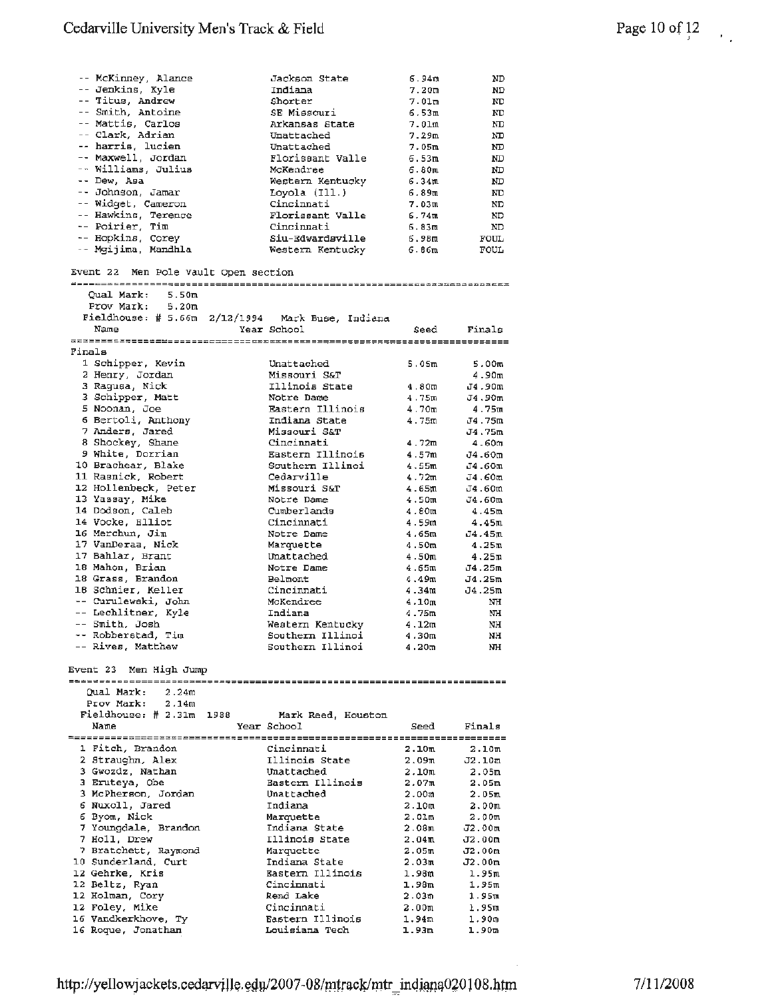|        | -- McKinney, Alance                       |      | Jackson State                      | ճ.94m             | ND                |
|--------|-------------------------------------------|------|------------------------------------|-------------------|-------------------|
|        | -- Jenkins, Kyle                          |      | Indiana                            | 7.20m             | ND                |
|        | -- Titus, Andrew                          |      | Shorter                            |                   |                   |
|        |                                           |      |                                    | 7.01m             | Ю                 |
|        | -- Smith, Antoine                         |      | SE Missouri                        | 6.53m             | ND                |
|        | -- Mattis, Carlos                         |      | Arkansas State                     | 7.01m             | ND                |
|        | -- Clark, Adrian                          |      | Unattached                         | 7.29m             | ND                |
|        |                                           |      |                                    |                   |                   |
|        | -- harris, lucien                         |      | Unattached                         | 7.05m             | ND                |
|        | -- Maxwell, Jordan                        |      | Florissant Valle                   | 6.53m             | ND                |
|        | -- Williams, Julius                       |      | McKendree                          | 6.80 ա            | ND                |
|        |                                           |      |                                    |                   |                   |
|        | -- Dew, Asa                               |      | Western Kentucky                   | 6.34ա             | ND                |
|        | -- Johnson, Jamar                         |      | Loyola (Ill.)                      | 6.89m             | ND                |
|        | -- Widget, Cameron                        |      | Cincinnati                         | 7.03m             | ND                |
|        | -- Hawkins, Terence                       |      | <b>Florissant Valle</b>            | 6.74m             |                   |
|        |                                           |      |                                    |                   | ND                |
|        | -- Poirier, Tim                           |      | Cincinnati                         | 6.83m             | ND                |
|        | -- Hopkins, Corey                         |      | Siu-Edwardsville                   | 6.98m             | FOUL              |
|        | -- Mgijima, Mandhla                       |      | Western Kentucky                   | 6.86m             | FOUL              |
|        |                                           |      |                                    |                   |                   |
|        |                                           |      |                                    |                   |                   |
|        | Event 22 Men Pole Vault Open section      |      |                                    |                   |                   |
|        |                                           |      |                                    |                   |                   |
|        |                                           |      |                                    |                   |                   |
|        | Qual Mark:<br>5.50m                       |      |                                    |                   |                   |
|        | 5.20 <sub>m</sub><br>Prov Mark:           |      |                                    |                   |                   |
|        | Fieldhouse: $# 5.66m$                     |      | 2/12/1994 Mark Buse, Indiana       |                   |                   |
|        | Name                                      |      |                                    |                   |                   |
|        |                                           |      | Year School                        | Seed              | Finals            |
|        |                                           |      |                                    |                   |                   |
| Finals |                                           |      |                                    |                   |                   |
|        |                                           |      | Unattached                         |                   |                   |
|        | 1 Schipper, Kevin                         |      |                                    | 5.05m             | 5.00m             |
|        | 2 Henry, Jordan                           |      | Missouri S&T                       |                   | 4.90m             |
|        | 3 Ragusa, Nick                            |      | Illinois State                     | 4.80m             | J4.90m            |
|        | 3 Schipper, Matt                          |      | Notre Dame                         | 4.75m             |                   |
|        |                                           |      |                                    |                   | J4.90m            |
|        | 5 Noonan, Joe                             |      | Eastern Illinois                   | 4.70 <sub>m</sub> | 4.75ա             |
|        | 6 Bertoli, Anthony                        |      | Indiana State                      | 4.75m             | J4.75m            |
|        | 7 Anders, Jared                           |      | Missouri S&T                       |                   | J4.75m            |
|        |                                           |      |                                    |                   |                   |
|        | 8 Shockey, Shane                          |      | Cincinnati                         | 4.72m             | 4.60m             |
|        | 9 White, Dorrian                          |      | Eastern Illinois                   | 4.57m             | J4.60m            |
|        | 10 Brachear, Blake                        |      | Southern Illinoi                   | 4.55m             | J4.60m            |
|        |                                           |      |                                    |                   |                   |
|        | 11 Rasnick, Robert                        |      | Cedarville                         | 4.72 <sub>m</sub> | J4.60m            |
|        | 12 Hollenbeck, Peter                      |      | Missouri S&T                       | 4.65m             | J4.60m            |
|        | 13 Yassay, Mike                           |      | Notre Dame                         | 4.50 <sub>m</sub> | J4.60m            |
|        |                                           |      |                                    |                   |                   |
|        | 14 Dodson, Caleb                          |      | Cumberlands                        | 4.80 <sub>π</sub> | 4.45m             |
|        | 14 Vocke, Elliot                          |      | Cincinnati                         | 4.59m             | 4.45m             |
|        | 16 Merchun, Jim                           |      | Notre Dame                         | 4.65m             | J4.45m            |
|        |                                           |      |                                    |                   |                   |
|        | 17 VanDeraa, Nick                         |      | Marquette                          | 4.50 <sub>m</sub> | 4.25m             |
|        | 17 Bahlar, Brant                          |      | Unattached                         | 4.50m             | 4.25m             |
|        | 18 Mahon, Brian                           |      | Notre Dame                         | 4.65m             | J4.25m            |
|        | 18 Grass, Brandon                         |      | Belmont                            | 4.49m             | J4.25m            |
|        |                                           |      |                                    |                   |                   |
|        | 18 Schnier, Keller                        |      | Cincinnati                         | 4.34m             | J4.25m            |
|        | -- Curulewski, John                       |      | McKendree                          | 4.10 <sub>m</sub> | NH                |
|        | -- Lechlitner, Kyle                       |      | Indiana                            | 4.75m             | ΝH                |
|        |                                           |      |                                    |                   |                   |
|        | -- Smith, Josh                            |      | Weatern Kentucky                   | 4.12m             | NH                |
|        | -- Robberstad, Tim                        |      | Southern Illinoi                   | 4.3UM             | NН.               |
|        | -- Rives, Matthew                         |      | Southern Illinoi                   |                   |                   |
|        |                                           |      |                                    |                   |                   |
|        |                                           |      |                                    | 4.20 <sub>m</sub> | NH                |
|        |                                           |      |                                    |                   |                   |
|        | Event 23 Men High Jump                    |      |                                    |                   |                   |
|        |                                           |      |                                    |                   |                   |
|        |                                           |      |                                    |                   |                   |
|        | Oual Mark:<br>2.24m                       |      |                                    |                   |                   |
|        | Prov Mark:<br>2.14m                       |      |                                    |                   |                   |
|        | Fieldhouse: # 2.31m                       | 1988 | Mark Reed, Houston                 |                   |                   |
|        |                                           |      |                                    |                   |                   |
|        | Name                                      |      | Year School                        | Seed              | Finals            |
|        |                                           |      |                                    |                   |                   |
|        | 1 Fitch, Brandon                          |      | Cincinnati                         | 2.10 <sub>m</sub> | 2.10m             |
|        | 2 Straughn, Alex                          |      | Illinois State                     | 2.09 <sub>m</sub> | J2.10m            |
|        |                                           |      |                                    |                   |                   |
|        | 3 Gwozdz, Nathan                          |      | Unattached                         | 2.10 <sub>m</sub> | 2.05m             |
|        | 3 Eruteya, Obe                            |      | Eastern Illinois                   | 2.07m             | 2.05m             |
|        | 3 McPherson, Jordan                       |      | Unattached                         | 2.00 <sub>m</sub> | 2.05m             |
|        |                                           |      |                                    |                   |                   |
|        | 6 Nuxoll, Jared                           |      | Indiana                            | 2.10 <sub>m</sub> | 2.00m             |
|        | 6 Byom, Nick                              |      | Marquette                          | 2.01m             | 2.00 <sub>m</sub> |
|        | 7 Youngdale, Brandon                      |      | Indiana State                      | 2.08m             | J2.00m            |
|        |                                           |      |                                    |                   |                   |
|        | 7 Holl, Drew                              |      | Illinois State                     | 2.04 <sub>m</sub> | J2.00m            |
|        | 7 Bratchett, Raymond                      |      | Marquette                          | 2.05m             | J2.00m            |
|        | 10 Sunderland, Curt                       |      | Indiana State                      | 2.03m             | J2.00m            |
|        |                                           |      |                                    |                   |                   |
|        | 12 Gehrke, Kris                           |      | Eastern Illinois                   | 1.98m             | 1.95m             |
|        | 12 Beltz, Ryan                            |      | Cincinnati                         | 1.98m             | 1.95m             |
|        | 12 Holman, Cory                           |      | Rend Lake                          | 2.03 <sub>m</sub> | 1.95m             |
|        |                                           |      |                                    |                   |                   |
|        | 12 Foley, Mike                            |      | Cincinnati                         | 2.00 ա            | 1.95ա             |
|        | 16 Vandkerkhove, Ty<br>16 Roque, Jonathan |      | Eastern Illinois<br>Louisiana Tech | 1.94m<br>1.93m    | 1.90 m<br>1.90m   |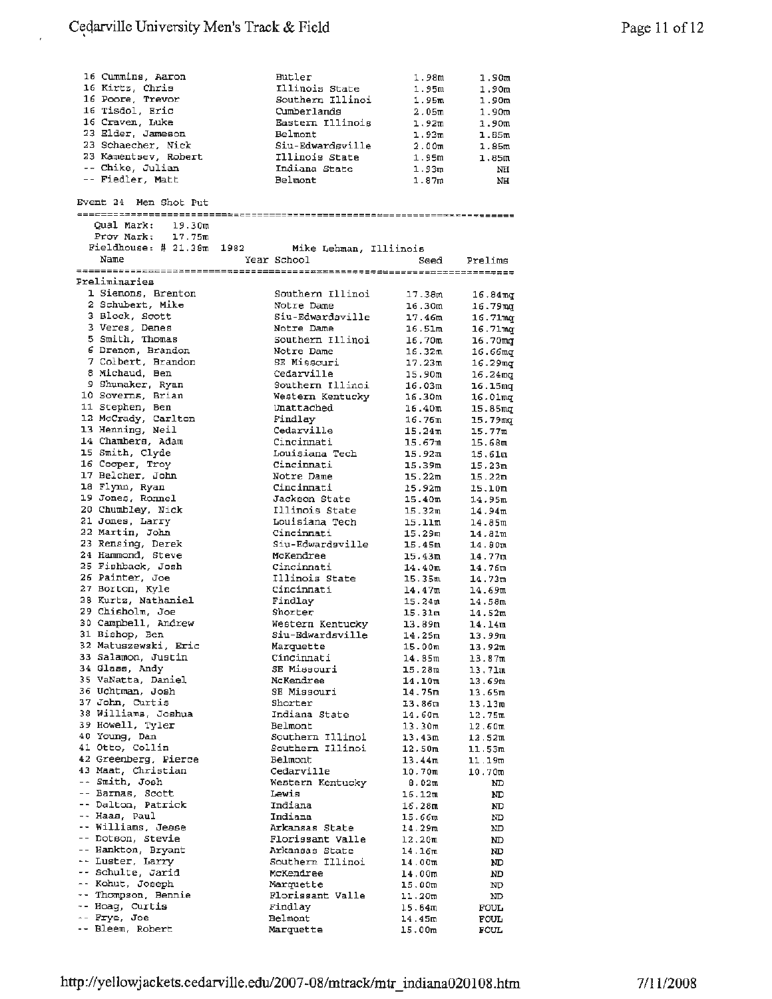| 16 Cummins, Aaron                   | Butler                 |                    |                     |
|-------------------------------------|------------------------|--------------------|---------------------|
|                                     |                        | 1.98m              | 1.90m               |
| 16 Kirtz, Chris                     | Illinois State         | 1.95m              | 1.90 <sub>m</sub>   |
| 16 Poore, Trevor                    | Southern Illinoi       | 1.95m              | 1.90m               |
| 16 Tisdol, Eric                     | Cumberlands            | 2.05m              | 1.90m               |
| 16 Craven, Luke                     | Eastern Illinois       | 1,92m              | 1.90m               |
| 23 Elder, Jameson                   | Belmont                | 1.93 <sub>m</sub>  | 1.55m               |
| 23 Schaecher, Nick                  | Siu-Edwardsville       | 2.00 <sub>m</sub>  | 1.85m               |
| 23 Kamentsev, Robert                | Illinois State         | 1.95m              | 1.85m               |
| -- Chike, Julian                    | Indiana State          | 1.93 <sub>m</sub>  |                     |
|                                     |                        |                    | NH                  |
| -- Fiedler, Matt                    | Belmont                | 1.87m              | NН                  |
|                                     |                        |                    |                     |
| Event 24 Men Shot Put               |                        |                    |                     |
|                                     |                        |                    |                     |
| Qual Mark: 19.30m                   |                        |                    |                     |
| $P$ rov Mark: $17.75m$              |                        |                    |                     |
| Fieldhouse: $#21.38\mathrm{m} 1982$ | Mike Lehman, Illiinois |                    |                     |
| Name                                | Year School            | Seed               | Prelims             |
|                                     |                        |                    |                     |
| Preliminaries                       |                        |                    |                     |
| 1 Siemons, Brenton                  | Southern Illinoi       |                    |                     |
|                                     |                        | 17.38m             | $16.84$ mg          |
| 2 Schubert, Mike                    | Notre Dame             | 16.30m             | 16.79mg             |
| 3 Block, Scott                      | Siu-Edwardsville       | 17.46m             | 16.71mg             |
| 3 Veres, Denes                      | Notre Dame             | 16.51m             | 16.71 <sub>mq</sub> |
| 5 Smith, Thomas                     | Southern Illinoi       | 16.70m             | 16.70mg             |
| 6 Drenon, Brandon                   | Notre Dame             | 16.32m             | 16.66mg             |
| 7 Colbert, Brandon                  | SE Missouri            | 17.23m             | 16.29mg             |
| 8 Michaud, Ben                      | Cedarville             | 15.90m             | 16.24ազ             |
| 9 Shumaker, Ryan                    | Southern Illinoi       | 16.03m             |                     |
| 10 Soverns, Brian                   |                        |                    | 16.15mq             |
|                                     | Western Kentucky       | 16.30m             | 16.01 <sub>mq</sub> |
| 11 Stephen, Ben                     | Unattached             | 16.40m             | 15.85 <sub>mg</sub> |
| 12 McCrady, Carlton                 | Findlay                | 16.76 <sub>m</sub> | $15.79$ mg          |
| 13 Henning, Neil                    | Cedarville             | 15.24 <sub>π</sub> | 15.77m              |
| 14 Chambers, Adam                   | Cincinnati             | 15.67m             | 15.68m              |
| 15 Smith, Clyde                     | Louisiana Tech         | 15.92m             | 15.61m              |
| 16 Cooper, Troy                     | Cincinnati             | 15.39m             | 15.23m              |
| 17 Belcher, John                    | Notre Dame             | 15.22m             | 15.22m              |
| 18 Flynn, Ryan                      | Cincinnati             |                    |                     |
|                                     |                        | 15.92m             | 15.10m              |
| 19 Jones, Ronnel                    | Jackson State          | 15.40m             | 14.95m              |
| 20 Chumbley, Nick                   | Illinois State         | 15.32ա             | 14.94m              |
| 21 Jones, Larry                     | Louisiana Tech         | 15.11m             | 14.85m              |
| 22 Martin, John                     | Cincinnati             | 15.29 <sub>m</sub> | 14.81m              |
| 23 Rensing, Derek                   | Siu-Edwardsville       | 15.45m             | 14.80m              |
| 24 Hammond, Steve                   | McKendree              | 15.43m             | 14.77m              |
| 25 Fishback, Josh                   | Cincinnati             | 14.40m             | 14.76m              |
| 26 Painter, Joe                     | Illinois State         | 15.35m             | 14.73m              |
| 27 Borton, Kyle                     | Cincinnati             | 14.47 <sub>m</sub> |                     |
| 28 Kurtz, Nathaniel                 | Findlay                |                    | 14.69m              |
|                                     |                        | 15.24ա             | 14.58m              |
| 29 Chisholm, Joe                    | Shorter                | 15.31m             | 14.52m              |
| 30 Campbell, Andrew                 | Western Kentucky       | 13.89m             | 14.14m              |
| 31 Bishop, Ben                      | Siu-Edwardsville       | 14.25m             | 13.99m              |
| 32 Matuszewski, Eric                | Marquette              | 15.00m             | 13.92m              |
| 33 Salamon, Justin                  | Cincinnati             | 14.85m             | 13.87m              |
| 34 Glass, Andy                      | SE Missouri            | 15.28m             | 13,71m              |
| 35 VaNatta, Daniel                  | McKendree              | 14.10m             | 13.69m              |
| 36 Uchtman, Josh                    | SE Missouri            | 14.75m             | 13.65m              |
| 37 John, Curtis                     | Shorter                | 13.86m             | 13.13m              |
| 38 Williams, Joshua                 | Indiana State          | 14.60 <sub>m</sub> |                     |
|                                     |                        |                    | 12.75m              |
| 39 Howell, Tyler                    | Belmont                | 13.30m             | 12.60m              |
| 40 Young, Dan                       | Southern Illinoi       | 13.43m             | 12.52m              |
| 41 Otto, Collin                     | Southern Illinoi       | 12.50 <sub>m</sub> | 11.53m              |
| 42 Greenberg, Pierce                | Belmont                | 13.44m             | 11.19m              |
| 43 Maat, Christian                  | Cedarville             | 10.70 <sub>m</sub> | 10.70m              |
| -- Smith, Josh                      | Western Kentucky       | 8.02m              | ND                  |
| -- Barnas, Scott                    | Lewis                  | 16.12m             | ND                  |
| -- Dalton, Patrick                  | Indiana                | 16.28m             | ND                  |
| -- Haas, Paul                       |                        |                    |                     |
|                                     | Indiana                | 15.66 <sub>π</sub> | ND                  |
| -- Williams, Jesse                  | Arkansas State         | 14.29m             | ND.                 |
| -- Dotson, Stevie                   | Florissant Valle       | 12.20m             | ND                  |
| -- Hankton, Bryant                  | Arkansas State         | 14.16 <sub>m</sub> | ND                  |
| -- Luster, Larry                    | Southern Illinoi       | 14.00m             | ND                  |
| -- Schulte, Jarid                   | McKendree              | 14.00m             | ND                  |
| -- Kohut, Joseph                    | Marquette              | 15.00 <sub>m</sub> | ND                  |
| -- Thompson, Bennie                 | Florissant Valle       | 11.20m             | ND                  |
| -- Hoag, Curtis                     | Findlay                |                    |                     |
| -- Frye, Joe                        |                        | 15.84m             | FOUL                |
|                                     | <b>Belmont</b>         | 14.45m             | <b>FOUL</b>         |
| -- Bleem, Robert                    | Marquette              | 15.00m             | FOUL                |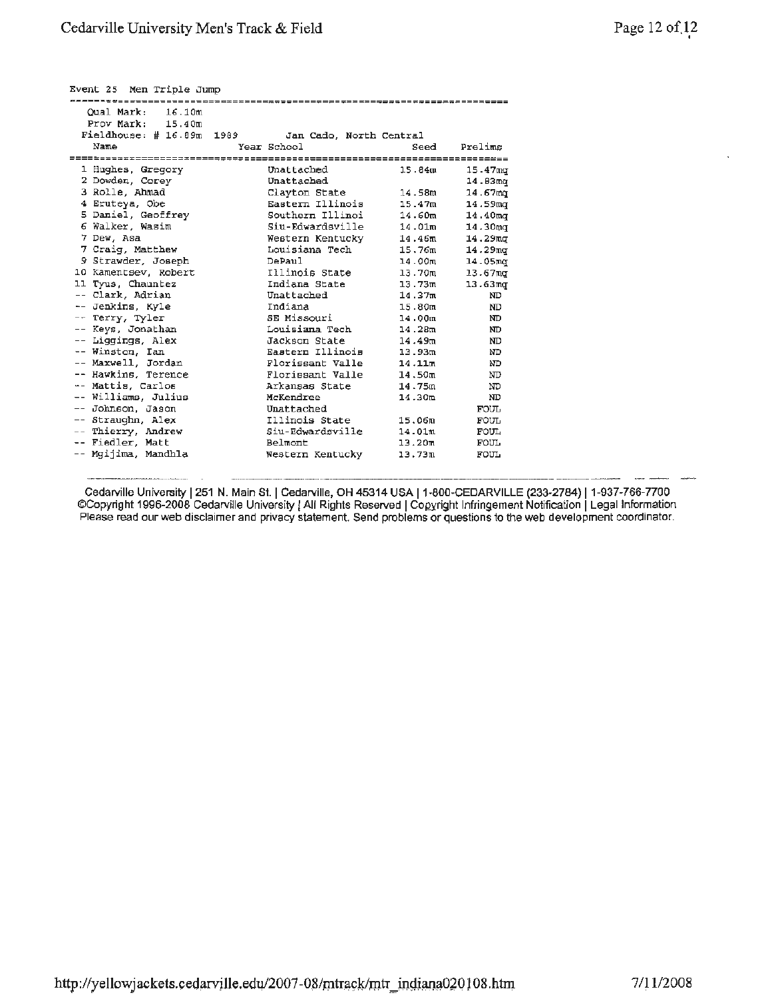|  | Page 12 of 12 |
|--|---------------|
|  |               |

-

| Event 25 Men Triple Jump      |                         |                    |                     |
|-------------------------------|-------------------------|--------------------|---------------------|
| <b>@########</b> ############ |                         |                    |                     |
| Oual Mark:<br>16.10m          |                         |                    |                     |
| Prov Mark: 15.40m             |                         |                    |                     |
| $Fieldhouse:$ # 16.89m 1989   | Jan Cado, North Central |                    |                     |
| Name                          | Year School             | Seed               | Prelims             |
|                               |                         |                    |                     |
| 1 Hughes, Gregory             | Unattached              | 15.84m             | 15.47 <sub>ma</sub> |
| 2 Dowden, Corey               | Unattached              |                    | 14.93 <sub>mq</sub> |
| 3 Rolle, Ahmad                | Clayton State           | 14.58m             | 14.67 <sub>ma</sub> |
| 4 Eruteya, Obe                | Eastern Illinois        | 15.47m             | 14.59mg             |
| 5 Daniel, Geoffrey            | Southern Illinoi        | 14.60 <sub>m</sub> | 14.40 <sub>mq</sub> |
| 6 Walker, Wasim               | Siu-Edwardsville        | 14.01m             | 14.30 <sub>mq</sub> |
| 7 Dew. Asa                    | Western Kentucky        | 14.46m             | 14.29 <sub>mt</sub> |
| 7 Craig, Matthew              | Louisiana Tech          | 15.76m             | $14.29$ mg          |
| 9 Strawder, Joseph            | DePaul.                 | 14.00m             | 14.05mg             |
| 10 Kamentsev, Robert          | Illinois State          | 13.70m             | 13.67 <sub>m</sub>  |
| 11 Tyus, Chauntez             | Indiana State           | 13.73m             | 13.63 <sub>mq</sub> |
| -- Clark, Adrian              | Unattached              | 14.37m             | ND                  |
| -- Jenkins, Kyle              | Indiana                 | 15.80m             | ND                  |
| -- Terry, Tyler               | SE Missouri             | 14.00m             | ND                  |
| -- Keys, Jonathan             | Louisiana Tech          | 14.28m             | ND                  |
| -- Liggings, Alex             | Jackson State           | 14.49m             | ND                  |
| -- Winston, Ian               | Eastern Illinois        | 13.93m             | ND                  |
| -- Maxwell, Jordan            | Florissant Valle        | 14.11m             | ND                  |
| -- Hawkins, Terence           | Florissant Valle        | 14.50m             | ND                  |
| -- Mattis, Carlos             | Arkansas State          | 14.75m             | ND                  |
| -- Williams, Julius           | McKendree               | 14.30 <sub>m</sub> | ND.                 |
| -- Johnson, Jason             | Unattached              |                    | <b>FOUL</b>         |
| -- Straughn, Alex             | Illinois State          | 15.06m             | <b>FOUL</b>         |
| -- Thierry, Andrew            | Siu-Edwardsville        | 14.01m             | FOUL                |
| -- Fiedler, Matt              | Belmont                 | 13.20m             | <b>FOUL</b>         |
| -- Mgijima, Mandhla           | Western Kentucky        | 13.73m             | FOUL                |
|                               |                         |                    |                     |

Cedarville University | 251 N. Main St. | Cedarville, OH 45314 USA | 1-800-CEDARVILLE (233-2784) | 1-937-766-7700 ©Copyright 1996-2008 Cedarville University! AU Rights Reserved I Copyright Infringement Notification I Legal Information Please read our web disclaimer and privacy statement. Send problems or questions to the web development coordinator.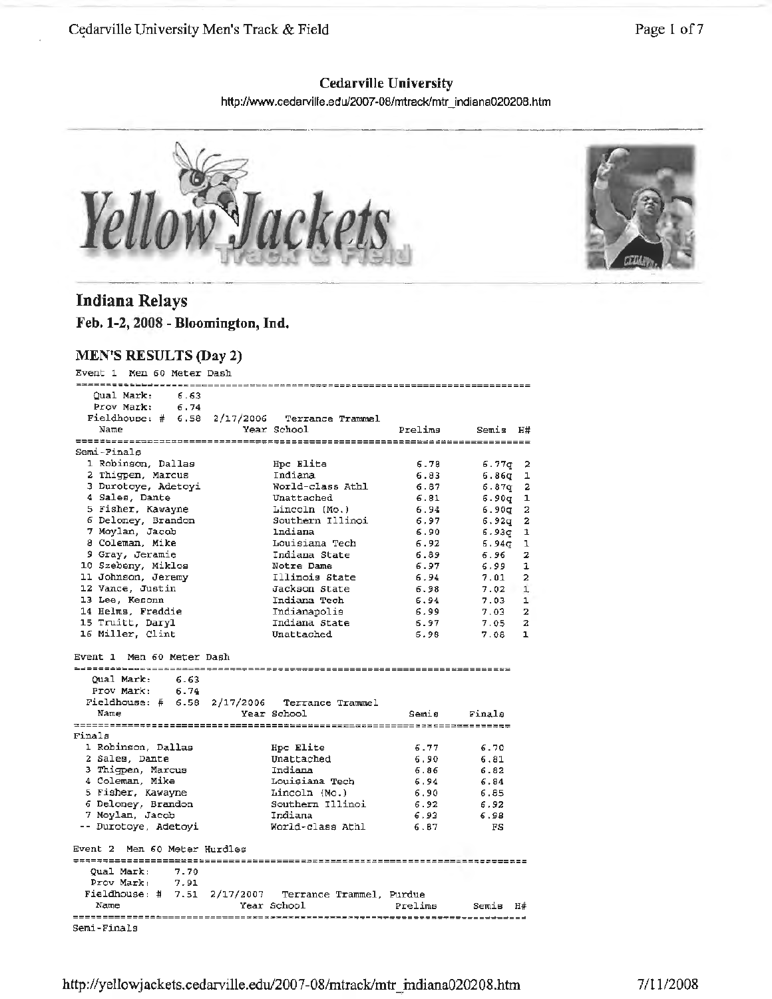#### Cedarville University Men's Track & Field

Page 1 of 7

## **Cedarville University**

http://www.cedarville.edu/2007-08/mtrack/mtr\_indiana020208.htm





### **Indiana Relays**

**Feb. 1-2, 2008 - Bloomington, Ind.** 

#### **MEN'S RESULTS (Day 2)**

Event 1 Men 60 Meter Dash Qual Mark: 6. 63 Prov Mark: 6.74 Fieldhouse: # 6.58 2/17/2006 Terrance Trammel Name Year School Prelims Semis **H#**  Semi-Finals l Robinson, Dallas Hpc Elite 6.78 6.?7q 2 2 Thigpen, Marcus Indiana 6.83 **6.86q** 1 <sup>3</sup>Durotoye, Adetoyi World-class Athl 6.87q <sup>2</sup> 6.8'7 **<sup>4</sup>**Sales, Dante Unattached 6.81 6.90q **1**  <sup>5</sup>Fisher, Kawayne Lincoln [Mo.) 6 Deloney, Brandon southern Illinoi 6.94  $6.90q$  $6.92q$  2 6.97 7 Moylan, Jacob Indiana 6.90 6.93q 1 <sup>8</sup>Coleman, **Mike** Louisiana Tech 6.92 6.94q l 9 Gray, Jeramie Indiana State 6.89 6.96 <sup>2</sup> 10 Szebeny, Miklos Notre Dame 11 Johnson, Jeremy Illinois State 6.97 6.99 1 6.94  $7.01$  2 12 Vance, Justin Jackson State 6.98  $7.02 \quad 1$ 13 Lee, Kesonn **Indiana Tech** 6.94 '7.03 l 14 Helms, Freddie Indianapolis 15 Truitt, Daryl Indiana State 6.99 7.03 **2**  6.97 '7.05 2 16 Miller, Clint Unattached 6.98 7.08 1 Event l Men 60 Meter Dash Qual Mark: 6.63 Prov Mark: 6.74 Frov Mark:  $6.74$ <br>Fieldhouse: #  $6.58$  2/17/2006 Terrance Trammel<br>Name Year School Year School semis Finals Finals l Robinson, Dallas Hpc Elite 6.77 6. '70 2 Sales, Dante 6.90 Unattached 6.81 6.82 3 Thigpen, Marcus 6.86 Indiana 4 Coleman, Mike s fisher, Kawayne Louisiana Tech 6.94 6.84 Lincoln (Mo.) Southern Illinoi 6.90 6.85 6 Deloney, Brandon 6.92 6.92 <sup>7</sup>Moylan, Jacob Indiana 6.93 6.98 World-class Athl -- Durotoye, Adetoyi 6.87 FS Event 2 Men 60 Meter Hurdles Qual Mark: 7.70 Prov Mark: 7.91 Fieldhouse:# 7.51 2/17/2007 Terrance Trammel, Purdue Name **Year School** Prelims Semis H# Semi-Finals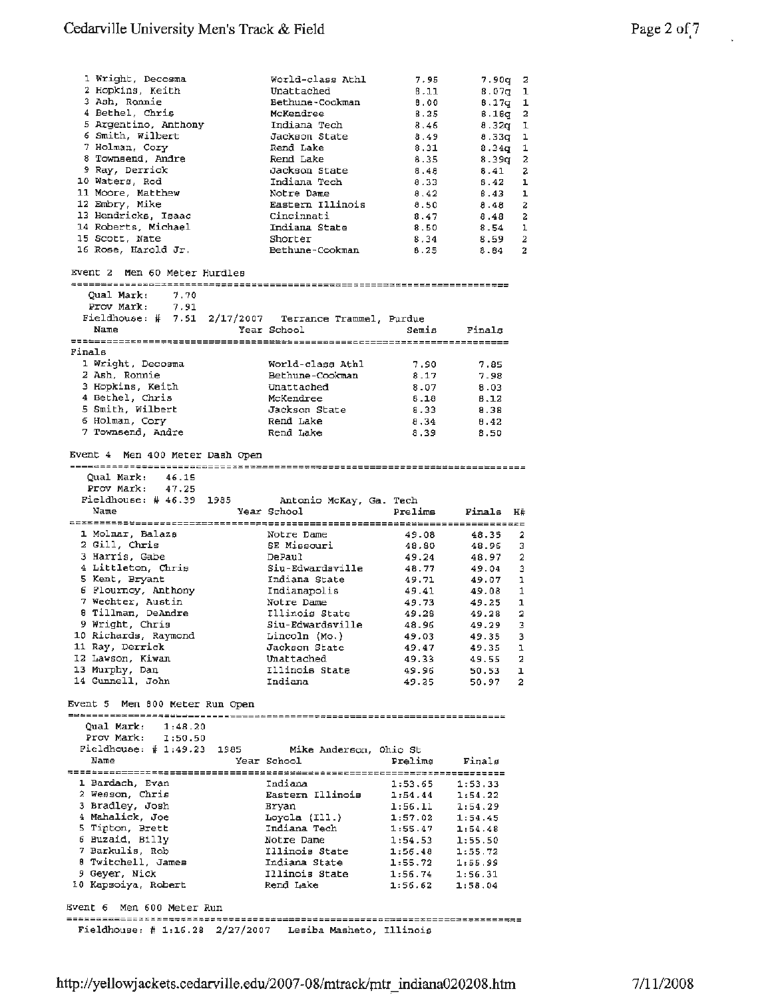|                                                          | World-class Athl       | 7.95                | 7.90g 2   |                         |
|----------------------------------------------------------|------------------------|---------------------|-----------|-------------------------|
| 1 Wright, Decosma<br>2 Hopkins, Keith                    |                        |                     |           |                         |
|                                                          | Unattached             | 8.11                | $8.07q$ 1 |                         |
| 3 Ash, Ronnie                                            | Bethune-Cookman        | 8.00                | 8.17g     | 1                       |
| 4 Bethel, Chris                                          | McKendree              | 8.25                | 6.16q     | $\overline{a}$          |
| 5 Argentino, Anthony                                     | Indiana Tech           | 8.46                | 8.32q     | ı                       |
| 6 Smith, Wilbert                                         | Jackson State          | 8.49                | 8.33q     | ı                       |
| 7 Holman, Cory                                           |                        |                     |           |                         |
|                                                          | Rend Lake              | 8.31                | 8.34g     | 1                       |
| 8 Townsend, Andre                                        | Rend Lake              | 8.35                | 8.39q     | 2                       |
| 9 Ray, Derrick                                           | Jackson State          | 8.48                | 8.41      | 2                       |
| 10 Waters, Rod                                           | Indiana Tech           | 8.33                | 8.42      | ı                       |
| 11 Moore, Matthew                                        | Notre Dame             | 8.42                | 8.43      | ı                       |
|                                                          |                        |                     |           |                         |
| 12 Embry, Mike                                           | Eastern Illinois       | 8.50                | 8.48      | $\ddot{z}$              |
| 13 Hendricks, Isaac                                      | Cincinnati             | 8.47                | 8.48      | $\overline{\mathbf{2}}$ |
| 14 Roberts, Michael                                      | Indiana State          | 8.50                | $8.54$ 1  |                         |
| 15 Scott, Nate                                           | Shorter                | 8.34                | 8.59      | $\overline{2}$          |
| 16 Rose, Harold Jr.                                      |                        |                     | $8.84$ 2  |                         |
|                                                          | Bethune-Cookman        | 8.25                |           |                         |
| Event 2 Men 60 Meter Hurdles                             |                        |                     |           |                         |
| Qual Mark:<br>7.70                                       |                        |                     |           |                         |
| Prov Mark:<br>7.91                                       |                        |                     |           |                         |
| Fieldhouse: # 7.51 2/17/2007 Terrance Trammel, Purdue    |                        |                     |           |                         |
|                                                          |                        |                     |           |                         |
| Name                                                     | Year School            | Semis               | Finals    |                         |
|                                                          |                        |                     |           |                         |
| Finals                                                   |                        |                     |           |                         |
| 1 Wright, Decosma                                        | World-class Athl       | 7.90                | 7.85      |                         |
| 2 Ash, Ronnie                                            |                        |                     |           |                         |
|                                                          | Bethune-Cookman        | 8.17                | 7.98      |                         |
| 3 Hopkins, Keith                                         | Unattached             | 8.07                | 8.03      |                         |
| 4 Bethel, Chris                                          | McKendree              | 8.18                | 8.12      |                         |
| 5 Smith, Wilbert                                         | Jackson State          | 8.33                | 8.38      |                         |
| 6 Holman, Cory                                           | Rend Lake              | 8.34                | 8.42      |                         |
|                                                          |                        |                     |           |                         |
| 7 Townsend, Andre                                        | Rend Lake              | 8.39                | 8.50      |                         |
| Event 4 Men 400 Meter Dash Open                          |                        |                     |           |                         |
| Qual Mark:<br>46.15                                      |                        |                     |           |                         |
|                                                          |                        |                     |           |                         |
| Prov Mark:<br>47.25                                      |                        |                     |           |                         |
| Fieldhouse: # 46.39 1985 Antonio McKay, Ga. Tech         |                        |                     |           |                         |
|                                                          |                        |                     |           |                         |
| Name                                                     | Year School            | Prelims             | Finals    | H#                      |
|                                                          |                        |                     |           |                         |
|                                                          |                        |                     |           |                         |
| 1 Molmar, Balazs                                         | Notre Dame             | 49.08               | 48.35     | 2                       |
| 2 Gill, Chris                                            | SE Missouri            | 48.80               | 48.96     | 3                       |
| 3 Harris, Gabe                                           | DePaul                 | 49.24               | 48.97     | $\overline{a}$          |
|                                                          | Siu-Edwardsville       |                     |           |                         |
| 4 Littleton, Chris                                       |                        | 48.77               | 49.04     | 3                       |
| 5 Kent, Bryant                                           | Indiana State          | 49.71               | 49.07     | 1                       |
| 6 Flournoy, Anthony                                      | Indianapolis           | 49.41               | 49.08     | 1                       |
| 7 Wechter, Austin                                        | Notre Dame             | 49.73               | 49.25     | 1                       |
|                                                          | Illinois State         | 49.28               |           | 2                       |
| 8 Tillman, DeAndre                                       |                        |                     | 49.28     |                         |
| 9 Wright, Chris                                          | Siu-Edwardsville       | 48.96               | 49.29     | з                       |
| 10 Richards, Raymond                                     | Lincoln (Mo.)          | 49.03               | 49.35     | 3                       |
| 11 Ray, Derrick                                          | Jackson State          | 49.47               | 49.35     | -1                      |
| 12 Lawson, Kiwan                                         | Unattached             | 49.33               | 49.55     | - 2                     |
|                                                          |                        |                     |           |                         |
| 13 Murphy, Dan                                           | Illinois State         | 49.96               | 50.53     | $\mathbf{1}$            |
| 14 Gunnell, John                                         | Indiana                | 49.25               | $50.97$ 2 |                         |
| Event 5 Men 800 Meter Run Open                           |                        |                     |           |                         |
|                                                          |                        |                     |           |                         |
| Oual Mark:<br>1:48.20                                    |                        |                     |           |                         |
| Prov Mark: 1:50.50                                       |                        |                     |           |                         |
| Fieldhouse: $\# 1:49.23$ 1985                            | Mike Anderson, Ohio St |                     |           |                         |
| Name                                                     | Year School            | Prelims             | Finals    |                         |
|                                                          |                        |                     |           |                         |
|                                                          |                        |                     |           |                         |
| 1 Bardach, Evan                                          | Indiana                | $1:53.65$ $1:53.33$ |           |                         |
| 2 Wesson, Chris                                          | Eastern Illinois       |                     | 1:54.22   |                         |
|                                                          |                        | 1:54.44             |           |                         |
| 3 Bradley, Josh                                          | Bryan                  | 1:56.11             | 1:54.29   |                         |
| 4 Mahalick, Joe                                          | Loyola (Ill.)          | 1:57.02 1:54.45     |           |                         |
| 5 Tipton, Brett                                          | Indiana Tech           | 1:55.47             | 1:54.48   |                         |
| 6 Buzaid, Billy                                          | Notre Dame             |                     |           |                         |
|                                                          |                        | $1:54.53$ $1:55.50$ |           |                         |
| 7 Barkulis, Rob                                          | Illinois State         | 1:56.48             | 1:55.72   |                         |
| 8 Twitchell, James                                       | Indiana State          | $1:55.72$ 1:55.99   |           |                         |
| 9 Geyer, Nick                                            | Illinois State         | 1:56.74             | 1:56.31   |                         |
| 10 Kapsoiya, Robert                                      | kend Lake              | $1:56.62$ $1:58.04$ |           |                         |
|                                                          |                        |                     |           |                         |
| Event 6 Men 600 Meter Run                                |                        |                     |           |                         |
| Fieldhouse: # 1:16.28 2/27/2007 Lesiba Masheto, Illinois |                        |                     |           |                         |

l.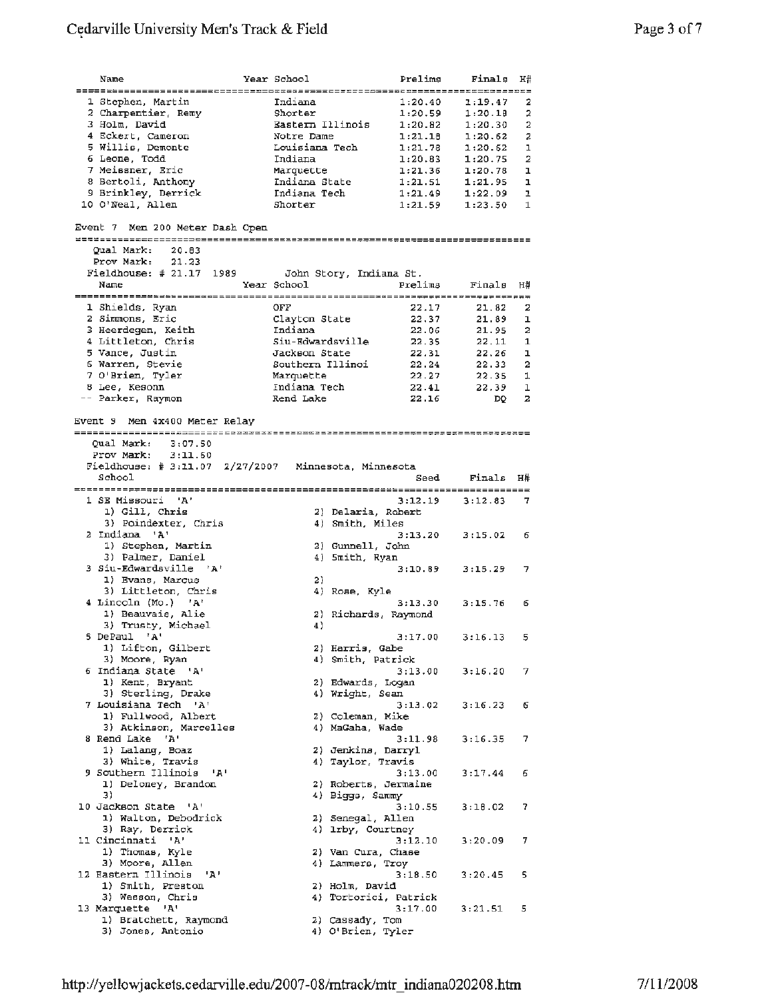| Name                                                                   | Year School               | Prelims        | Finals              | H#             |
|------------------------------------------------------------------------|---------------------------|----------------|---------------------|----------------|
|                                                                        |                           |                | ----------------    |                |
| 1 Stephen, Martin                                                      | Indiana                   | 1:20.40        | 1:19.47             | 2              |
| 2 Charpentier, Remy                                                    | Shorter                   | 1:20.59        | 1:20.18             | 2              |
| 3 Holm, David                                                          | Eastern Illinois          | 1:20.82        | 1:20.30             | $\overline{a}$ |
| 4 Eckert, Cameron                                                      | Notre Dame                | 1:21.18        | 1:20.62             | 2              |
| 5 Willis, Demonte                                                      | Louisiana Tech            | 1:21.78        | 1:20.62             | $\mathbf{1}$   |
| 6 Leone, Todd                                                          | Indiana                   | 1:20.83        | 1:20.75             | 2              |
| 7 Meissner, Eric                                                       | Marquette                 | 1:21.36        | 1:20.78             | ı              |
| 8 Bertoli, Anthony                                                     | Indiana State             |                | $1:21.51$ $1:21.95$ | ı              |
| 9 Brinkley, Derrick                                                    | Indiana Tech              |                | $1:21.49$ $1:22.09$ | ı              |
|                                                                        | Shorter                   |                |                     |                |
| 10 O'Neal, Allen                                                       |                           | 1:21.59        | 1:23.50             |                |
| Qual Mark:<br>20.83<br>Prov Mark:<br>21.23<br>Fieldhouse: # 21.17 1989 | John Story, Indiana St.   |                |                     |                |
| Event 7 Men 200 Meter Dash Open<br>Name                                | Year School               | Prelims        | Finals              | 1<br>H#        |
| ==========================                                             |                           |                |                     |                |
| 1 Shields, Ryan                                                        | OFF                       | 22.17          | 21.82               | 2              |
| 2 Simmons, Eric                                                        | Clayton State             | 22.37          | 21.89               | ı              |
| 3 Heerdegen, Keith                                                     | Indiana                   | 22.06          | 21.95               | $\overline{2}$ |
| 4 Littleton, Chris                                                     | Siu-Edwardsville          | 22.35          | 22.11               | $\mathbf{1}$   |
| 5 Vance, Justin                                                        | Jackson State             | 22.31          | 22.26               | ı              |
| 6 Warren, Stevie                                                       | Southern Illinoi          | 22.24          | 22.33               | $\overline{a}$ |
| 7 O'Brien, Tyler                                                       | Marquette                 | 22.27          | 22.35               | 1              |
| 8 Lee, Kesonn<br>-- Parker, Raymon                                     | Indiana Tech<br>Rend Lake | 22.41<br>22.16 | 22.39<br>DQ         | 1<br>2         |

Event 9 Men 4X400 Meter Relay Qual Mark: 3:07.50 Prov Mark: 3:11.60 Fieldhouse: # 3:11.07 2/27/2007 Minnesota, Minnesota school Seed Finals H# ~~~~~~~~~~===========================================~---------------------- 1 SE Missouri 'A' 3:12.19 3:12.83 7 1) Gill, Chris 2) Delaria, Robert 3) Poindexter, Chris **4)** smith, Miles 2 Indiana **'A'** 3:13.20 3:15.02 *<sup>6</sup>* 1) Stephen, Martin 2) Gunnell, John 3) Stephen, Martin (2) Gunnell, John<br>3) Palmer, Daniel (4) Smith, Ryan 3 Siu-Edwardsville **'A'** 3:10.89 3:15.29 7 1) **Evans, Marcus** 1) Bvans, Marcus<br>3) Littleton, Chris (2) (2)<br>2) A' (3) Rose, Kyle (3) (3) 3:15.76 (3)<br>4) A' (3) 3:13.30 (3) 3:15.76 (3) **<sup>4</sup>**Lincoln (Mo.) **'A'** 3:13.30 3:15.76 6 1) Beauvais, Alie 2) Richards, Raymond 3) Trusty, Michael<br>5 DePaul <sup>1</sup>A<sup>1</sup> **s** DePaul 'A' 3:17.00 3:16.13 5 1) Lifton, Gilbert 2) Harris, Gabe 3) Moore, Ryan **4)** Smith, Patrick 6 Indiana State *'A'* 3:13.00 3:16.20 7 1) Kent, Bryant 2) Edwards, Logan 3) Sterling, Drake 4) Wright, Sean <sup>7</sup>**Louisiana Tech** 'A' 3:13.02 3:16.23 6 1) Fullwood, Albert 2) Coleman, **Mike**  3) Atkinson, Marcelles (4) MaGaha, Wade **<sup>8</sup>**Rend Lake 'A' 3:11.98 3:16.35 7 8 Rend Lake 'A' 3:11.98 3:16.35 7<br>1) Lalang, Boaz 2) Jenkins, Darryl<br>2) Mehina Travic 3) White, Travis **4)** Taylor, Travis **9** Southern Illinois 'A' 4' 3:13. 9 Southern Illinois **'A'** 3:13.00 3:17.44 6 1) Deloney, Brandon 2) Roberts, Jermaine 3) 4) Biggs, Sammy 10 Jackson State 'A' 3:10.55 3:18.02 7 1) Walton, Debodrick 2) Senegal, Allen 3) Ray, Derrick 4) 1rby, Courtney 11 Cincinnati **'A'** 3:12.10 3:20.09 7 1) Thomas, Kyle 2) Van Cura, Chase<br>
1) Thomas, Kyle 2) Van Cura, Chase<br>
2) Moore, Allen 4) Lammers, Troy 3) Moore, Allen 4) Lammers, Troy 12 Eastern Illinois **'A'** 3:18.50 3:20.45 **<sup>5</sup>** 1) Smith, Preston 2) Holm, **David**  3) Wesson, Chris **4)** Tortorici, Patrick 13 Marquette **'A'** 3:17.00 3:21.51 <sup>5</sup> 1) Bratchett, Raymond 2) Cassady, Tom 3) Jones, Antonio **4)** O'Brien, Tyler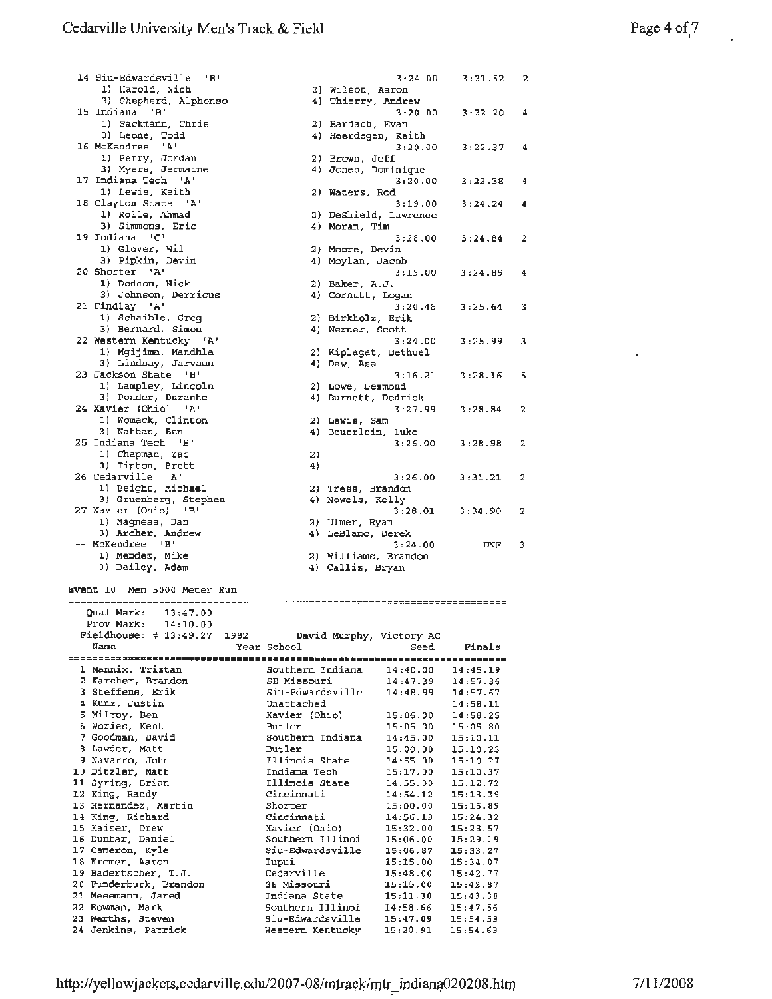$\ddot{\phantom{a}}$ 

| 14 Siu-Edwardsville 'B'                  |                                      | 3:24.00                  | 3:21.52              | 2              |
|------------------------------------------|--------------------------------------|--------------------------|----------------------|----------------|
| 1) Harold, Nich                          | 2) Wilson, Aaron                     |                          |                      |                |
| 3) Shepherd, Alphonso<br>15 Indiana 'B'  | 4) Thierry, Andrew                   |                          |                      |                |
| 1) Sackmann, Chris                       | 2) Bardach, Evan                     | 3:20.00                  | 3:22.20              | -4             |
| 3) Leone, Todd                           | 4) Heerdegen, Keith                  |                          |                      |                |
| 16 McKendree 'A'                         |                                      | 3:20.00                  | 3:22.37              | 4              |
| 1) Perry, Jordan                         | 2) Brown, Jeff                       |                          |                      |                |
| 3) Myers, Jermaine                       | 4) Jones, Dominique                  |                          |                      |                |
| 17 Indiana Tech 'A'                      |                                      | 3:20.00                  | 3:22.38              | 4              |
| 1) Lewis, Keith                          | 2) Waters, Rod                       |                          |                      |                |
| 18 Clayton State 'A'                     |                                      | 3:19.00                  | 3:24.24              | 4              |
| 1) Rolle, Ahmad                          | 2) DeShield, Lawrence                |                          |                      |                |
| 3) Simmons, Eric                         | 4) Moran, Tim                        |                          |                      |                |
| 19 Indiana 'C'                           |                                      | 3:28.00                  | 3:24.84              | $\overline{2}$ |
| 1) Glover, Wil                           | 2) Moore, Devin                      |                          |                      |                |
| 3) Pipkin, Devin<br>20 Shorter 'A'       | 4) Moylan, Jacob                     | 3:19.00                  | 3:24.89              | 4              |
| 1) Dodson, Nick                          | $2)$ Baker, A.J.                     |                          |                      |                |
| 3) Johnson, Derricus                     | 4) Cornutt, Logan                    |                          |                      |                |
| 21 Findlay 'A'                           |                                      | 3:20.48                  | 3:25.64              | 3              |
| 1) Schaible, Greg                        | 2) Birkholz, Erik                    |                          |                      |                |
| 3) Bernard, Simon                        | 4) Werner, Scott                     |                          |                      |                |
| 22 Western Kentucky 'A'                  |                                      | 3:24.00                  | 3:25.99              | з              |
| 1) Mgijima, Mandhla                      | 2) Kiplagat, Bethuel                 |                          |                      |                |
| 3) Lindsay, Jarvaun                      | 4) Dew, Asa                          |                          |                      |                |
| 23 Jackson State 'B'                     |                                      | 3:16.21                  | 3:28.16              | 5              |
| 1) Lampley, Lincoln                      | 2) Lowe, Desmond                     |                          |                      |                |
| 3) Ponder, Durante                       | 4) Burnett, Dedrick                  |                          |                      |                |
| 24 Xavier (Ohio)<br>- 'A'                |                                      | 3:27.99                  | 3:28.84              | 2              |
| 1) Womack, Clinton                       | 2) Lewis, Sam                        |                          |                      |                |
| 3) Nathan, Ben<br>25 Indiana Tech 'B'    | 4) Beuerlein, Luke                   | 3:26.00                  | 3:28.98              | 2              |
| 1) Chapman, Zac                          | 2)                                   |                          |                      |                |
| 3) Tipton, Brett                         | 4)                                   |                          |                      |                |
| 26 Cedarville 'A'                        |                                      | 3:26.00                  | 3:31.21              | 2              |
| 1) Beight, Michael                       | 2) Tress, Brandon                    |                          |                      |                |
| 3) Gruenberg, Stephen                    | 4) Nowels, Kelly                     |                          |                      |                |
| 27 Xavier (Ohio)<br>- 181                |                                      | 3:28.01                  | 3:34.90              | 2              |
| 1) Magness, Dan                          | 2) Ulmer, Ryan                       |                          |                      |                |
| 3) Archer, Andrew                        | 4) LeBlanc, Derek                    |                          |                      |                |
| -- McKendree 'B'                         |                                      | 3:24.00                  | DNF.                 | 3              |
| 1) Mendez, Mike                          | 2) Williams, Brandon                 |                          |                      |                |
| 3) Bailey, Adam                          | 4) Callis, Bryan                     |                          |                      |                |
| Event 10 Men 5000 Meter Run              |                                      |                          |                      |                |
|                                          |                                      | ------------------------ |                      |                |
| Qual Mark:<br>13:47.00                   |                                      |                          |                      |                |
| Prov Mark:<br>14:10.00                   |                                      |                          |                      |                |
| Fieldhouse: $\sharp$ 13:49.27 1982       | David Murphy, Victory AC             |                          |                      |                |
| Name                                     | Year School                          | Seed                     | Finals               |                |
|                                          |                                      |                          |                      |                |
| 1 Mannix, Tristan                        | Southern Indiana                     | 14:40.00                 | 14:45.19             |                |
| 2 Karcher, Brandon                       | SE Missouri                          | 14:47.39                 | 14:57.36             |                |
| 3 Steffens, Erik                         | Siu-Edwardsville                     | 14:48.99                 | 14:57.67             |                |
| 4 Kunz, Justin<br>5 Milroy, Ben          | Unattached                           |                          | 14:58.11             |                |
| 6 Wories, Kent                           | Xavier (Ohio)<br>Butler              | 15:06.00<br>15:05.00     | 14:58.25<br>15:05.80 |                |
| 7 Goodman, David                         | Southern Indiana                     | 14:45.00                 | 15:10.11             |                |
| 8 Lawder, Matt                           | Butler                               | 15:00.00                 | 15:10.23             |                |
| 9 Navarro, John                          | Illinois State                       | 14:55.00                 | 15:10.27             |                |
| 10 Ditzler, Matt                         | Indiana Tech                         | 15:17.00                 | 15:10.37             |                |
| 11 Syring, Brian                         | Illinois State                       | 14:55.00                 | 15:12.72             |                |
| 12 King, Randy                           | Cincinnati                           | 14:54.12                 | 15:13.39             |                |
| 13 Hernandez, Martin                     | Shorter                              | 15:00.00                 | 15:16.89             |                |
| 14 King, Richard                         | Cincinnati                           | 14:56.19                 | 15:24.32             |                |
| 15 Kaiser, Drew                          | Xavier (Ohio)                        | 15:32.00                 | 15:28.57             |                |
| 16 Dunbar, Daniel                        | Southern Illinoi                     | 15:06.00                 | 15:29.19             |                |
| 17 Cameron, Kyle                         | Siu-Edwardsville                     | 15:06.87                 | 15:33.27             |                |
| 18 Kremer, Aaron                         | Iupui                                | 15:15.00                 | 15:34.07             |                |
| 19 Badertscher, T.J.                     | Cedarville                           | 15:48.00                 | 15:42.77             |                |
|                                          |                                      |                          |                      |                |
| 20 Funderburk, Brandon                   | SE Missouri                          | 15:15.00                 | 15:42.87             |                |
| 21 Messmann, Jared                       | Indiana State                        | 15:11.30                 | 15:43.38             |                |
| 22 Bowman, Mark                          | Southern Illinoi                     | 14:58.66                 | 15:47.56             |                |
| 23 Werths, Steven<br>24 Jenkins, Patrick | Siu-Edwardsville<br>Western Kentucky | 15:47.09<br>15:20.91     | 15:54.59<br>15:54.63 |                |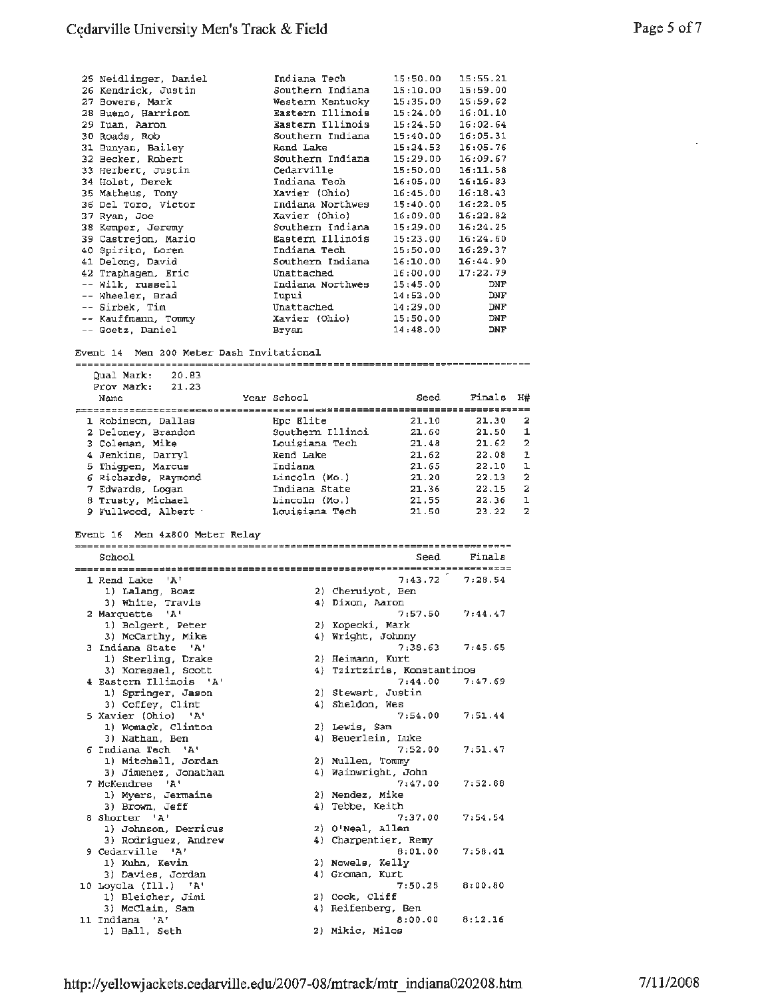| 25 Neidlinger, Daniel<br>26 Kendrick, Justin<br>27 Bowers, Mark<br>28 Bueno, Harrison<br>29 Iuan, Aaron<br>30 Roads, Rob<br>31 Bunyan, Bailey<br>32 Becker, Robert<br>33 Herbert, Justin<br>34 Holst, Derek<br>35 Matheus, Tony<br>36 Del Toro, Victor<br>37 Ryan, Joe<br>38 Kemper, Jeremy<br>39 Castrejon, Mario<br>40 Spirito, Loren<br>41 Delong, David<br>42 Traphagen, Eric | Indiana Tech<br>Southern Indiana<br>Western Kentucky<br>Eastern Illinois<br>Eastern Illinois<br>Southern Indiana<br>Rend Lake<br>Southern Indiana<br>Cedarville<br>Indiana Tech<br>Xavier (Ohio)<br>Indiana Northwes<br>Xavier (Ohio)<br>Southern Indiana<br>Eastern Illinois<br>Indiana Tech<br>Southern Indiana<br>Unattached | 15:50.00<br>15:10.00<br>15:35.00<br>15:24.00<br>15:24.50<br>15:40.00<br>15:24.53<br>15:29.00<br>15:50.00<br>16:05.00<br>16:45.00<br>15:40.00<br>16:09.00<br>15:29.00<br>15:23.00<br>15:50.00<br>16:10.00<br>16:00.00 | 15:55.21<br>15:59.00<br>15:59.62<br>16:01.10<br>16:02.64<br>16:05.31<br>16:05.76<br>16:09.67<br>16:11.58<br>16:16.83<br>16:18.43<br>16:22.05<br>16:22.82<br>16:24.25<br>16:24.60<br>16:29.37<br>16:44.90<br>17:22.79 |                         |
|-----------------------------------------------------------------------------------------------------------------------------------------------------------------------------------------------------------------------------------------------------------------------------------------------------------------------------------------------------------------------------------|---------------------------------------------------------------------------------------------------------------------------------------------------------------------------------------------------------------------------------------------------------------------------------------------------------------------------------|----------------------------------------------------------------------------------------------------------------------------------------------------------------------------------------------------------------------|----------------------------------------------------------------------------------------------------------------------------------------------------------------------------------------------------------------------|-------------------------|
| -- Wilk, russell<br>-- Wheeler, Brad                                                                                                                                                                                                                                                                                                                                              | Indiana Northwes<br>Iupui                                                                                                                                                                                                                                                                                                       | 15:45.00<br>14:53.00                                                                                                                                                                                                 | DNF<br>DNF                                                                                                                                                                                                           |                         |
| -- Sirbek, Tim                                                                                                                                                                                                                                                                                                                                                                    | Unattached                                                                                                                                                                                                                                                                                                                      | 14:29.00                                                                                                                                                                                                             | DNF                                                                                                                                                                                                                  |                         |
| -- Kauffmann, Tommy                                                                                                                                                                                                                                                                                                                                                               | Xavier (Ohio)                                                                                                                                                                                                                                                                                                                   | 15:50.00                                                                                                                                                                                                             | DNF                                                                                                                                                                                                                  |                         |
| -- Goetz, Daniel                                                                                                                                                                                                                                                                                                                                                                  | Bryan                                                                                                                                                                                                                                                                                                                           | 14:48.00                                                                                                                                                                                                             | DNF                                                                                                                                                                                                                  |                         |
| Event 14 Men 200 Meter Dash Invitational<br>Qual Mark:<br>20.83<br>Prov Mark: 21.23                                                                                                                                                                                                                                                                                               |                                                                                                                                                                                                                                                                                                                                 |                                                                                                                                                                                                                      |                                                                                                                                                                                                                      |                         |
| Name                                                                                                                                                                                                                                                                                                                                                                              | Year School                                                                                                                                                                                                                                                                                                                     | Seed                                                                                                                                                                                                                 | Finals                                                                                                                                                                                                               | H#                      |
| 1 Robinson, Dallas                                                                                                                                                                                                                                                                                                                                                                | Hpc Elite                                                                                                                                                                                                                                                                                                                       | 21.10                                                                                                                                                                                                                | 21.30                                                                                                                                                                                                                | 2                       |
| 2 Deloney, Brandon                                                                                                                                                                                                                                                                                                                                                                | Southern Illinoi                                                                                                                                                                                                                                                                                                                | 21.60                                                                                                                                                                                                                | 21.50                                                                                                                                                                                                                | 1                       |
| 3 Coleman, Mike                                                                                                                                                                                                                                                                                                                                                                   | Louisiana Tech                                                                                                                                                                                                                                                                                                                  | 21.48                                                                                                                                                                                                                | 21.62                                                                                                                                                                                                                | $\overline{\mathbf{2}}$ |
| 4 Jenkins, Darryl<br>5 Thigpen, Marcus                                                                                                                                                                                                                                                                                                                                            | Rend Lake<br>Indiana                                                                                                                                                                                                                                                                                                            | 21.62<br>21.65                                                                                                                                                                                                       | 22.08<br>22.10                                                                                                                                                                                                       | 1<br>ı                  |
| 6 Richards, Raymond                                                                                                                                                                                                                                                                                                                                                               | Lincoln (Mo.)                                                                                                                                                                                                                                                                                                                   | 21.20                                                                                                                                                                                                                | 22.13                                                                                                                                                                                                                | $\overline{\mathbf{2}}$ |
| 7 Edwards, Logan                                                                                                                                                                                                                                                                                                                                                                  | Indiana State                                                                                                                                                                                                                                                                                                                   | 21.36                                                                                                                                                                                                                | 22.15                                                                                                                                                                                                                | 2                       |
| 8 Trusty, Michael                                                                                                                                                                                                                                                                                                                                                                 | Lincoln (Mo.)                                                                                                                                                                                                                                                                                                                   | 21.55                                                                                                                                                                                                                | 22.36                                                                                                                                                                                                                | ı                       |
|                                                                                                                                                                                                                                                                                                                                                                                   | Louisiana Tech                                                                                                                                                                                                                                                                                                                  | 21.50                                                                                                                                                                                                                | 23.22                                                                                                                                                                                                                | $\mathbf{z}$            |
| 9 Fullwood, Albert                                                                                                                                                                                                                                                                                                                                                                |                                                                                                                                                                                                                                                                                                                                 |                                                                                                                                                                                                                      |                                                                                                                                                                                                                      |                         |
| Event 16 Men 4x800 Meter Relay                                                                                                                                                                                                                                                                                                                                                    |                                                                                                                                                                                                                                                                                                                                 |                                                                                                                                                                                                                      |                                                                                                                                                                                                                      |                         |
|                                                                                                                                                                                                                                                                                                                                                                                   |                                                                                                                                                                                                                                                                                                                                 |                                                                                                                                                                                                                      |                                                                                                                                                                                                                      |                         |
| School                                                                                                                                                                                                                                                                                                                                                                            |                                                                                                                                                                                                                                                                                                                                 | Seed                                                                                                                                                                                                                 | Finals                                                                                                                                                                                                               |                         |
| 1 Rend Lake 'A'                                                                                                                                                                                                                                                                                                                                                                   |                                                                                                                                                                                                                                                                                                                                 | 7:43.72                                                                                                                                                                                                              | 7:28.54                                                                                                                                                                                                              |                         |
| 1) Lalang, Boaz                                                                                                                                                                                                                                                                                                                                                                   | 2) Cheruiyot, Ben                                                                                                                                                                                                                                                                                                               |                                                                                                                                                                                                                      |                                                                                                                                                                                                                      |                         |
| 3) White, Travis                                                                                                                                                                                                                                                                                                                                                                  | 4) Dixon, Aaron                                                                                                                                                                                                                                                                                                                 |                                                                                                                                                                                                                      |                                                                                                                                                                                                                      |                         |
| 2 Marquette 'A'                                                                                                                                                                                                                                                                                                                                                                   |                                                                                                                                                                                                                                                                                                                                 | 7:57.50                                                                                                                                                                                                              | 7:44.47                                                                                                                                                                                                              |                         |
| 1) Bolgert, Peter                                                                                                                                                                                                                                                                                                                                                                 | 2) Kopecki, Mark                                                                                                                                                                                                                                                                                                                |                                                                                                                                                                                                                      |                                                                                                                                                                                                                      |                         |
| 3) McCarthy, Mike                                                                                                                                                                                                                                                                                                                                                                 | 4) Wright, Johnny                                                                                                                                                                                                                                                                                                               |                                                                                                                                                                                                                      |                                                                                                                                                                                                                      |                         |
| 3 Indiana State 'A'<br>1) Sterling, Drake                                                                                                                                                                                                                                                                                                                                         | 2) Heimann, Kurt                                                                                                                                                                                                                                                                                                                | 7:38.63                                                                                                                                                                                                              | 7:45.65                                                                                                                                                                                                              |                         |
| 3) Koressel, Scott                                                                                                                                                                                                                                                                                                                                                                | 4) Tzirtziris, Konstantinos                                                                                                                                                                                                                                                                                                     |                                                                                                                                                                                                                      |                                                                                                                                                                                                                      |                         |
| 4 Eastern Illinois 'A'                                                                                                                                                                                                                                                                                                                                                            |                                                                                                                                                                                                                                                                                                                                 | 7:44.00                                                                                                                                                                                                              | 7:47.69                                                                                                                                                                                                              |                         |
| 1) Springer, Jason                                                                                                                                                                                                                                                                                                                                                                | 2) Stewart, Justin                                                                                                                                                                                                                                                                                                              |                                                                                                                                                                                                                      |                                                                                                                                                                                                                      |                         |
| 3) Coffey, Clint                                                                                                                                                                                                                                                                                                                                                                  | 4) Sheldon, Wes                                                                                                                                                                                                                                                                                                                 |                                                                                                                                                                                                                      |                                                                                                                                                                                                                      |                         |
| 5 Xavier (Ohio) 'A'                                                                                                                                                                                                                                                                                                                                                               |                                                                                                                                                                                                                                                                                                                                 | 7:54.00                                                                                                                                                                                                              | 7:51.44                                                                                                                                                                                                              |                         |
| 1) Womack, Clinton<br>3) Nathan, Ben                                                                                                                                                                                                                                                                                                                                              | 2) Lewis, Sam<br>4) Beuerlein, Luke                                                                                                                                                                                                                                                                                             |                                                                                                                                                                                                                      |                                                                                                                                                                                                                      |                         |
| 6 Indiana Tech 'A'                                                                                                                                                                                                                                                                                                                                                                |                                                                                                                                                                                                                                                                                                                                 | 7:52.00                                                                                                                                                                                                              | 7:51.47                                                                                                                                                                                                              |                         |
| 1) Mitchell, Jordan                                                                                                                                                                                                                                                                                                                                                               | 2) Mullen, Tommy                                                                                                                                                                                                                                                                                                                |                                                                                                                                                                                                                      |                                                                                                                                                                                                                      |                         |
| 3) Jimenez, Jonathan                                                                                                                                                                                                                                                                                                                                                              | 4) Wainwright, John                                                                                                                                                                                                                                                                                                             |                                                                                                                                                                                                                      |                                                                                                                                                                                                                      |                         |
| 7 McKendree 'A'                                                                                                                                                                                                                                                                                                                                                                   |                                                                                                                                                                                                                                                                                                                                 | 7:47.00                                                                                                                                                                                                              | 7:52.88                                                                                                                                                                                                              |                         |
| 1) Myers, Jermaine<br>3) Brown, Jeff                                                                                                                                                                                                                                                                                                                                              | 2) Mendez, Mike<br>4) Tebbe, Keith                                                                                                                                                                                                                                                                                              |                                                                                                                                                                                                                      |                                                                                                                                                                                                                      |                         |
| 8 Shorter 'A'                                                                                                                                                                                                                                                                                                                                                                     |                                                                                                                                                                                                                                                                                                                                 | 7:37.00                                                                                                                                                                                                              | 7:54.54                                                                                                                                                                                                              |                         |
| 1) Johnson, Derricus                                                                                                                                                                                                                                                                                                                                                              | 2) O'Neal, Allen                                                                                                                                                                                                                                                                                                                |                                                                                                                                                                                                                      |                                                                                                                                                                                                                      |                         |
| 3) Rodriguez, Andrew                                                                                                                                                                                                                                                                                                                                                              | 4) Charpentier, Remy                                                                                                                                                                                                                                                                                                            |                                                                                                                                                                                                                      |                                                                                                                                                                                                                      |                         |
| 9 Cedarville 'A'                                                                                                                                                                                                                                                                                                                                                                  |                                                                                                                                                                                                                                                                                                                                 | 8:01.00                                                                                                                                                                                                              | 7:58.41                                                                                                                                                                                                              |                         |
| 1) Kuhn, Kevin                                                                                                                                                                                                                                                                                                                                                                    | 2) Nowels, Kelly                                                                                                                                                                                                                                                                                                                |                                                                                                                                                                                                                      |                                                                                                                                                                                                                      |                         |
| 3) Davies, Jordan                                                                                                                                                                                                                                                                                                                                                                 | 4) Groman, Kurt                                                                                                                                                                                                                                                                                                                 |                                                                                                                                                                                                                      |                                                                                                                                                                                                                      |                         |
| 10 Loyola (Ill.) 'A'                                                                                                                                                                                                                                                                                                                                                              | 2) Cook, Cliff                                                                                                                                                                                                                                                                                                                  | 7:50.25                                                                                                                                                                                                              | 8:00.80                                                                                                                                                                                                              |                         |
| 1) Bleicher, Jimi<br>3) McClain, Sam                                                                                                                                                                                                                                                                                                                                              | 4) Reifenberg, Ben                                                                                                                                                                                                                                                                                                              |                                                                                                                                                                                                                      |                                                                                                                                                                                                                      |                         |
| 11 Indiana 'A'<br>1) Ball, Seth                                                                                                                                                                                                                                                                                                                                                   | 2) Mikic, Milos                                                                                                                                                                                                                                                                                                                 | 8:00.00                                                                                                                                                                                                              | 8:12.16                                                                                                                                                                                                              |                         |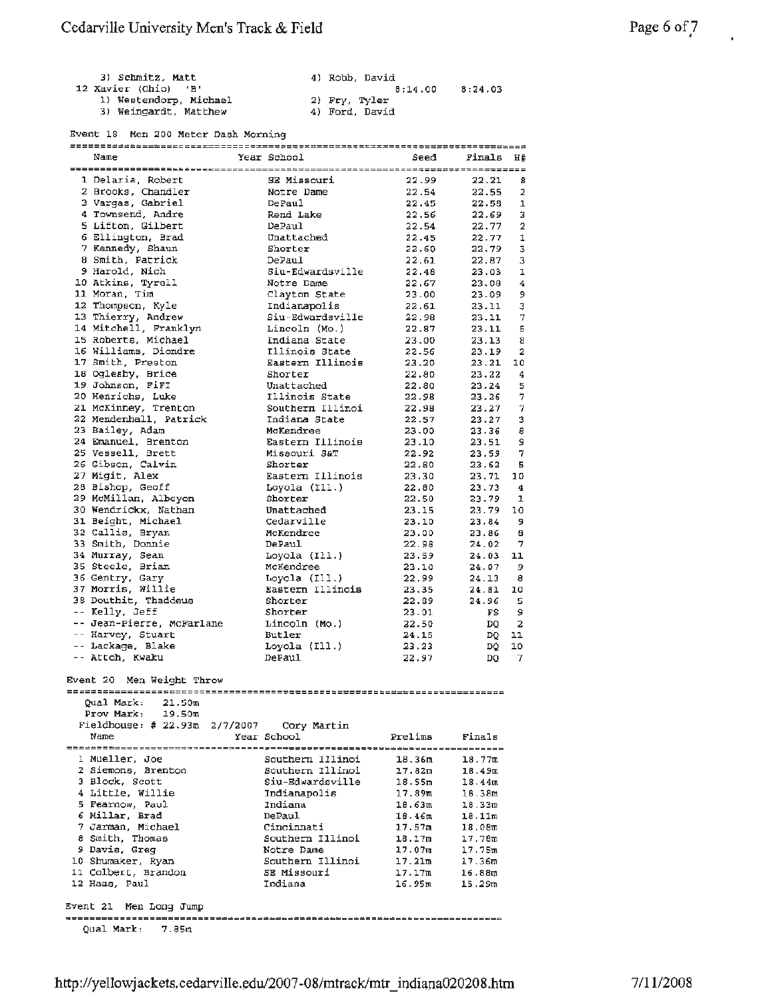| 3) Schmitz, Matt       | 4) Robb, David |         |
|------------------------|----------------|---------|
| 12 Xavier (Ohio) 'B'   | 8:14.00        | 8:24.03 |
| 1) Westendorp, Michael | 2) Fry, Tyler  |         |
| 3) Weingardt, Matthew  | 4) Ford, David |         |

#### Event 18 Men 200 Meter Dash Morning

| Name                          | Year School      | Seed               | Finals H#          |                         |
|-------------------------------|------------------|--------------------|--------------------|-------------------------|
|                               |                  |                    |                    |                         |
| 1 Delaria, Robert             | SE Missouri      | 22.99              | 22.21              | - 8                     |
| 2 Brooks, Chandler            | Notre Dame       | 22.54              | 22.55              | 2                       |
| 3 Vargas, Gabriel             | <b>DePaul</b>    | 22.45              | $22.58$ 1          |                         |
| 4 Townsend, Andre             | Rend Lake        | 22.56              | 22.69              | 3                       |
| 5 Lifton, Gilbert             | DePaul           | 22.54              | 22.77              | 2                       |
| 6 Ellington, Brad             | Unattached       | 22.45              | 22.77              | $\mathtt 1$             |
| 7 Kennedy, Shaun              | Shorter          | 22.60              | 22.79              | 3                       |
| 8 Smith, Patrick              | DePaul           | 22.61              | 22.87              | 3                       |
| 9 Harold, Nich                | Siu-Edwardsville | 22.48              | 23.03              | 1                       |
| 10 Atkins, Tyrell             | Notre Dame       | 22.67              | 23.08              | 4                       |
| 11 Moran, Tim                 | Clayton State    | 23.00              | 23.09              | 9                       |
| 12 Thompson, Kyle             | Indianapolis     | 22.61              | 23.11              | 3                       |
| 13 Thierry, Andrew            | Siu-Edwardsville | 22.98              | 23.11              | 7                       |
| 14 Mitchell, Franklyn         | Lincoln (Mo.)    | 22.87              | 23.11              | 5                       |
| 15 Roberts, Michael           | Indiana State    | 23.00              | 23.13 8            |                         |
| 16 Williams, Diondre          | Illinois State   | 22.56              | 23.19              | $\overline{a}$          |
| 17 Smith, Preston             | Eastern Illinois | 23.20              | 23.21              | 10                      |
| 18 Oglesby, Brice             | Shorter          | 22.80              | 23.22              | $\bf{4}$                |
| 19 Johnson, FiFI              | Unattached       | 22.80              | 23.24              | 5                       |
| 20 Henrichs, Luke             | Illinois State   | 22.98              | 23.26              | $\overline{7}$          |
| 21 McKinney, Trenton          | Southern Illinoi | 22.98              | 23.27 7            |                         |
| 22 Mendenhall, Patrick        | Indiana State    | 22.57              | 23.27              | 3                       |
| 23 Bailey, Adam               | McKendree        | 23.00              | 23.36              | 8                       |
| 24 Emanuel, Brenton           | Eastern Illinois | 23.10              | 23.51              | 9                       |
| 25 Vessell, Brett             | Missouri S&T     | 22.92              | 23.59              | 7                       |
| 26 Gibson, Calvin             | Shorter          |                    |                    | 5                       |
|                               |                  | 22.80              | 23.62              |                         |
| 27 Migit, Alex                | Eastern Illinois | 23.30              | 23.71              | 10                      |
| 28 Bishop, Geoff              | Loyola (III.)    | 22.80              | 23.73              | $\overline{\mathbf{4}}$ |
| 29 McMillan, Albeyon          | Shorter          | 22.50              | $23.79$ 1          |                         |
| 30 Wendrickx, Nathan          | Unattached       | 23.15              | 23.79              | 10                      |
| 31 Beight, Michael            | Cedarville       | 23.10              | 23.84              | 9                       |
| 32 Callis, Bryan              | McKendree        | 23.00              | 23.86              | - 8                     |
| 33 Smith, Donnie              | DePaul           | 22.98              | 24.02              | $\overline{7}$          |
| 34 Murray, Sean               | Loyola (Ill.)    | 23.59              | 24.03 11           |                         |
| 35 Steele, Brian              | McKendree        | 23.10              | 24.07              | - 9                     |
| 36 Gentry, Gary               | Loyola (Ill.)    | 22.99              | 24.13              | - 8                     |
| 37 Morris, Willie             | Eastern Illinois | 23.35              | 24.81              | 10                      |
| 38 Douthit, Thaddeus          | Shorter          | 22.89              | 24.96              | - 5                     |
| -- Kelly, Jeff                | Shorter          | 23.01              | FS.                | - 9                     |
| -- Jean-Pierre, McFarlane     | Lincoln (Mo.)    | 22.50              | DQ                 | $\overline{2}$          |
| -- Harvey, Stuart             | Butler           | 24.15              | DQ                 | 11                      |
| -- Lackage, Blake             | Loyola (Ill.)    | 23.23              | DQ.                | 10                      |
| -- Attoh, Kwaku               | DePaul           | 22.97              | DQ                 | $\overline{I}$          |
|                               |                  |                    |                    |                         |
| Event 20 Men Weight Throw     |                  |                    |                    |                         |
|                               |                  |                    |                    |                         |
| Oual Mark:<br>21.50m          |                  |                    |                    |                         |
| Prov Mark:<br>19.50m          |                  |                    |                    |                         |
| Fieldhouse: # 22.93m 2/7/2007 | Cory Martin      |                    |                    |                         |
| Name                          | Year School      | Prelims            | Finals             |                         |
|                               |                  |                    |                    |                         |
| 1 Mueller, Joe                | Southern Illinoi | 18.36 <sub>m</sub> | 18.77m             |                         |
| 2 Siemons, Brenton            | Southern Illinoi | 17.82m             | 18.49m             |                         |
| 3 Block, Scott                | Siu-Edwardsville | 18.55m             | 18.44m             |                         |
| 4 Little, Willie              | Indianapolis     | 17.89m             | 18.38m             |                         |
| 5 Fearnow, Paul               | Indiana          | 18.63m             | 18.33m             |                         |
| 6 Millar, Brad                | DePaul           | 18.46 <sub>m</sub> | 18.11 <sub>n</sub> |                         |
| 7 Jarman, Michael             | Cincinnati       | 17.57m             | 18.08m             |                         |
| 8 Smith, Thomas               | Southern Illinoi | 18.17m             | 17.78m             |                         |
| 9 Davis, Greg                 | Notre Dame       | 17.07 <sub>m</sub> | 17.75m             |                         |
| 10 Shumaker, Ryan             | Southern Illinoi | 17.21m             | 17.36m             |                         |
| 11 Colbert, Brandon           | SE Missouri      | 17.17m             | 16.88m             |                         |
| 12 Haas, Paul                 | Indiana          | 16,95ա             | 15.29m             |                         |
|                               |                  |                    |                    |                         |
| Men Long Jump<br>Event 21     |                  |                    |                    |                         |
|                               |                  |                    |                    |                         |
| Qual Mark: 7.85m              |                  |                    |                    |                         |